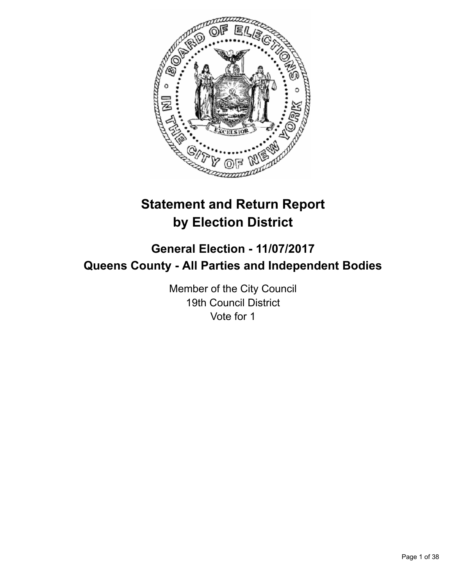

# **Statement and Return Report by Election District**

## **General Election - 11/07/2017 Queens County - All Parties and Independent Bodies**

Member of the City Council 19th Council District Vote for 1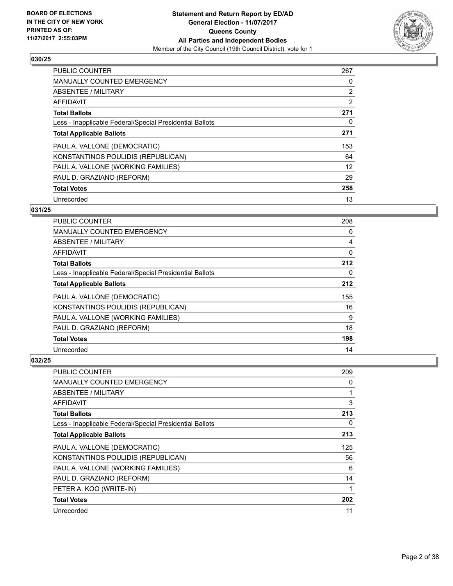

| <b>PUBLIC COUNTER</b>                                    | 267            |
|----------------------------------------------------------|----------------|
| <b>MANUALLY COUNTED EMERGENCY</b>                        | 0              |
| ABSENTEE / MILITARY                                      | 2              |
| <b>AFFIDAVIT</b>                                         | $\overline{2}$ |
| <b>Total Ballots</b>                                     | 271            |
| Less - Inapplicable Federal/Special Presidential Ballots | 0              |
| <b>Total Applicable Ballots</b>                          | 271            |
| PAUL A. VALLONE (DEMOCRATIC)                             | 153            |
| KONSTANTINOS POULIDIS (REPUBLICAN)                       | 64             |
| PAUL A. VALLONE (WORKING FAMILIES)                       | 12             |
| PAUL D. GRAZIANO (REFORM)                                | 29             |
| <b>Total Votes</b>                                       | 258            |
| Unrecorded                                               | 13             |

## **031/25**

| PUBLIC COUNTER                                           | 208 |
|----------------------------------------------------------|-----|
| <b>MANUALLY COUNTED EMERGENCY</b>                        | 0   |
| ABSENTEE / MILITARY                                      | 4   |
| AFFIDAVIT                                                | 0   |
| <b>Total Ballots</b>                                     | 212 |
| Less - Inapplicable Federal/Special Presidential Ballots | 0   |
| <b>Total Applicable Ballots</b>                          | 212 |
| PAUL A. VALLONE (DEMOCRATIC)                             | 155 |
| KONSTANTINOS POULIDIS (REPUBLICAN)                       | 16  |
| PAUL A. VALLONE (WORKING FAMILIES)                       | 9   |
| PAUL D. GRAZIANO (REFORM)                                | 18  |
| <b>Total Votes</b>                                       | 198 |
| Unrecorded                                               | 14  |

| PUBLIC COUNTER                                           | 209 |
|----------------------------------------------------------|-----|
| MANUALLY COUNTED EMERGENCY                               | 0   |
| ABSENTEE / MILITARY                                      |     |
| AFFIDAVIT                                                | 3   |
| <b>Total Ballots</b>                                     | 213 |
| Less - Inapplicable Federal/Special Presidential Ballots | 0   |
| <b>Total Applicable Ballots</b>                          | 213 |
| PAUL A. VALLONE (DEMOCRATIC)                             | 125 |
| KONSTANTINOS POULIDIS (REPUBLICAN)                       | 56  |
| PAUL A. VALLONE (WORKING FAMILIES)                       | 6   |
| PAUL D. GRAZIANO (REFORM)                                | 14  |
| PETER A. KOO (WRITE-IN)                                  | 1   |
| <b>Total Votes</b>                                       | 202 |
| Unrecorded                                               | 11  |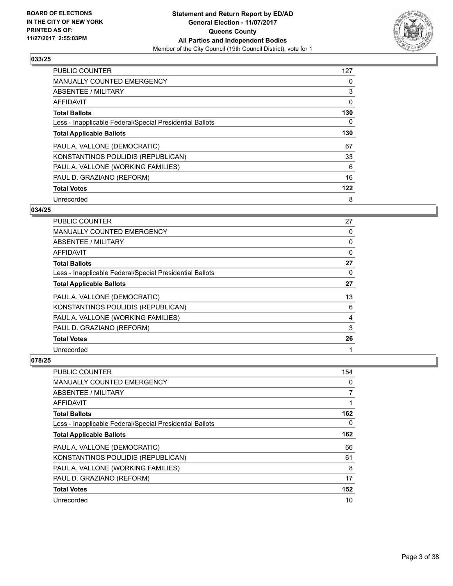

| <b>PUBLIC COUNTER</b>                                    | 127 |
|----------------------------------------------------------|-----|
| <b>MANUALLY COUNTED EMERGENCY</b>                        | 0   |
| ABSENTEE / MILITARY                                      | 3   |
| <b>AFFIDAVIT</b>                                         | 0   |
| <b>Total Ballots</b>                                     | 130 |
| Less - Inapplicable Federal/Special Presidential Ballots | 0   |
| <b>Total Applicable Ballots</b>                          | 130 |
| PAUL A. VALLONE (DEMOCRATIC)                             | 67  |
| KONSTANTINOS POULIDIS (REPUBLICAN)                       | 33  |
| PAUL A. VALLONE (WORKING FAMILIES)                       | 6   |
| PAUL D. GRAZIANO (REFORM)                                | 16  |
| <b>Total Votes</b>                                       | 122 |
| Unrecorded                                               | 8   |

## **034/25**

| <b>PUBLIC COUNTER</b>                                    | 27       |
|----------------------------------------------------------|----------|
| <b>MANUALLY COUNTED EMERGENCY</b>                        | 0        |
| <b>ABSENTEE / MILITARY</b>                               | 0        |
| AFFIDAVIT                                                | 0        |
| <b>Total Ballots</b>                                     | 27       |
| Less - Inapplicable Federal/Special Presidential Ballots | $\Omega$ |
| <b>Total Applicable Ballots</b>                          | 27       |
| PAUL A. VALLONE (DEMOCRATIC)                             | 13       |
| KONSTANTINOS POULIDIS (REPUBLICAN)                       | 6        |
| PAUL A. VALLONE (WORKING FAMILIES)                       | 4        |
| PAUL D. GRAZIANO (REFORM)                                | 3        |
| <b>Total Votes</b>                                       | 26       |
| Unrecorded                                               |          |

| <b>PUBLIC COUNTER</b>                                    | 154 |
|----------------------------------------------------------|-----|
| <b>MANUALLY COUNTED EMERGENCY</b>                        | 0   |
| ABSENTEE / MILITARY                                      | 7   |
| AFFIDAVIT                                                |     |
| <b>Total Ballots</b>                                     | 162 |
| Less - Inapplicable Federal/Special Presidential Ballots | 0   |
| <b>Total Applicable Ballots</b>                          | 162 |
| PAUL A. VALLONE (DEMOCRATIC)                             | 66  |
| KONSTANTINOS POULIDIS (REPUBLICAN)                       | 61  |
| PAUL A. VALLONE (WORKING FAMILIES)                       | 8   |
| PAUL D. GRAZIANO (REFORM)                                | 17  |
| <b>Total Votes</b>                                       | 152 |
| Unrecorded                                               | 10  |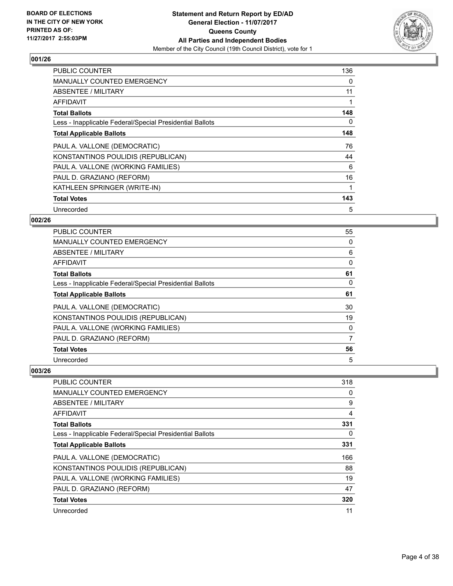

| <b>PUBLIC COUNTER</b>                                    | 136 |
|----------------------------------------------------------|-----|
| <b>MANUALLY COUNTED EMERGENCY</b>                        | 0   |
| ABSENTEE / MILITARY                                      | 11  |
| AFFIDAVIT                                                | 1   |
| <b>Total Ballots</b>                                     | 148 |
| Less - Inapplicable Federal/Special Presidential Ballots | 0   |
| <b>Total Applicable Ballots</b>                          | 148 |
| PAUL A. VALLONE (DEMOCRATIC)                             | 76  |
| KONSTANTINOS POULIDIS (REPUBLICAN)                       | 44  |
| PAUL A. VALLONE (WORKING FAMILIES)                       | 6   |
| PAUL D. GRAZIANO (REFORM)                                | 16  |
| KATHLEEN SPRINGER (WRITE-IN)                             |     |
| <b>Total Votes</b>                                       | 143 |
| Unrecorded                                               | 5   |

## **002/26**

| <b>PUBLIC COUNTER</b>                                    | 55 |
|----------------------------------------------------------|----|
| <b>MANUALLY COUNTED EMERGENCY</b>                        | 0  |
| ABSENTEE / MILITARY                                      | 6  |
| AFFIDAVIT                                                | 0  |
| <b>Total Ballots</b>                                     | 61 |
| Less - Inapplicable Federal/Special Presidential Ballots | 0  |
| <b>Total Applicable Ballots</b>                          | 61 |
| PAUL A. VALLONE (DEMOCRATIC)                             | 30 |
| KONSTANTINOS POULIDIS (REPUBLICAN)                       | 19 |
| PAUL A. VALLONE (WORKING FAMILIES)                       | 0  |
| PAUL D. GRAZIANO (REFORM)                                | 7  |
| <b>Total Votes</b>                                       | 56 |
| Unrecorded                                               | 5  |

| <b>PUBLIC COUNTER</b>                                    | 318 |
|----------------------------------------------------------|-----|
| <b>MANUALLY COUNTED EMERGENCY</b>                        | 0   |
| ABSENTEE / MILITARY                                      | 9   |
| AFFIDAVIT                                                | 4   |
| <b>Total Ballots</b>                                     | 331 |
| Less - Inapplicable Federal/Special Presidential Ballots | 0   |
| <b>Total Applicable Ballots</b>                          | 331 |
| PAUL A. VALLONE (DEMOCRATIC)                             | 166 |
| KONSTANTINOS POULIDIS (REPUBLICAN)                       | 88  |
| PAUL A. VALLONE (WORKING FAMILIES)                       | 19  |
| PAUL D. GRAZIANO (REFORM)                                | 47  |
| <b>Total Votes</b>                                       | 320 |
| Unrecorded                                               | 11  |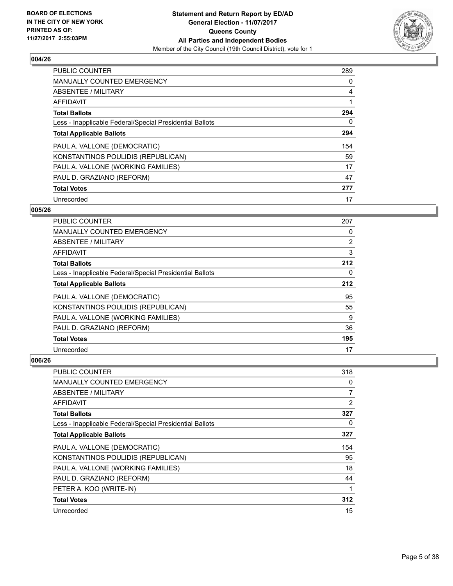

| <b>PUBLIC COUNTER</b>                                    | 289 |
|----------------------------------------------------------|-----|
| <b>MANUALLY COUNTED EMERGENCY</b>                        | 0   |
| ABSENTEE / MILITARY                                      | 4   |
| <b>AFFIDAVIT</b>                                         |     |
| <b>Total Ballots</b>                                     | 294 |
| Less - Inapplicable Federal/Special Presidential Ballots | 0   |
| <b>Total Applicable Ballots</b>                          | 294 |
| PAUL A. VALLONE (DEMOCRATIC)                             | 154 |
| KONSTANTINOS POULIDIS (REPUBLICAN)                       | 59  |
| PAUL A. VALLONE (WORKING FAMILIES)                       | 17  |
| PAUL D. GRAZIANO (REFORM)                                | 47  |
| <b>Total Votes</b>                                       | 277 |
| Unrecorded                                               | 17  |

## **005/26**

| <b>PUBLIC COUNTER</b>                                    | 207 |
|----------------------------------------------------------|-----|
| <b>MANUALLY COUNTED EMERGENCY</b>                        | 0   |
| ABSENTEE / MILITARY                                      | 2   |
| AFFIDAVIT                                                | 3   |
| <b>Total Ballots</b>                                     | 212 |
| Less - Inapplicable Federal/Special Presidential Ballots | 0   |
| <b>Total Applicable Ballots</b>                          | 212 |
| PAUL A. VALLONE (DEMOCRATIC)                             | 95  |
| KONSTANTINOS POULIDIS (REPUBLICAN)                       | 55  |
| PAUL A. VALLONE (WORKING FAMILIES)                       | 9   |
| PAUL D. GRAZIANO (REFORM)                                | 36  |
| <b>Total Votes</b>                                       | 195 |
| Unrecorded                                               | 17  |

| PUBLIC COUNTER                                           | 318            |
|----------------------------------------------------------|----------------|
| <b>MANUALLY COUNTED EMERGENCY</b>                        | 0              |
| ABSENTEE / MILITARY                                      | 7              |
| AFFIDAVIT                                                | $\overline{2}$ |
| <b>Total Ballots</b>                                     | 327            |
| Less - Inapplicable Federal/Special Presidential Ballots | 0              |
| <b>Total Applicable Ballots</b>                          | 327            |
| PAUL A. VALLONE (DEMOCRATIC)                             | 154            |
| KONSTANTINOS POULIDIS (REPUBLICAN)                       | 95             |
| PAUL A. VALLONE (WORKING FAMILIES)                       | 18             |
| PAUL D. GRAZIANO (REFORM)                                | 44             |
| PETER A. KOO (WRITE-IN)                                  | 1              |
| <b>Total Votes</b>                                       | 312            |
| Unrecorded                                               | 15             |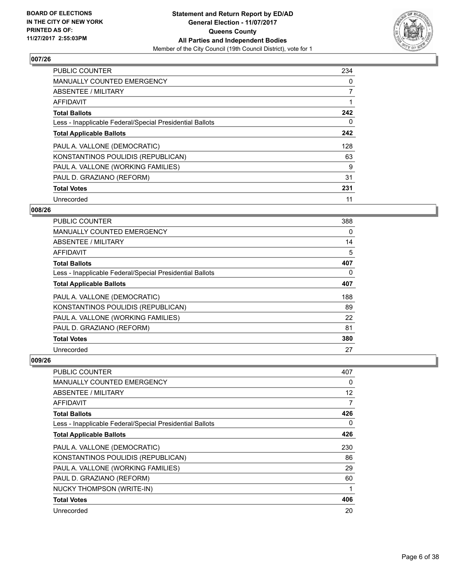

| <b>PUBLIC COUNTER</b>                                    | 234 |
|----------------------------------------------------------|-----|
| <b>MANUALLY COUNTED EMERGENCY</b>                        | 0   |
| ABSENTEE / MILITARY                                      | 7   |
| <b>AFFIDAVIT</b>                                         |     |
| <b>Total Ballots</b>                                     | 242 |
| Less - Inapplicable Federal/Special Presidential Ballots | 0   |
| <b>Total Applicable Ballots</b>                          | 242 |
| PAUL A. VALLONE (DEMOCRATIC)                             | 128 |
| KONSTANTINOS POULIDIS (REPUBLICAN)                       | 63  |
| PAUL A. VALLONE (WORKING FAMILIES)                       | 9   |
| PAUL D. GRAZIANO (REFORM)                                | 31  |
| <b>Total Votes</b>                                       | 231 |
| Unrecorded                                               | 11  |

#### **008/26**

| <b>PUBLIC COUNTER</b>                                    | 388 |
|----------------------------------------------------------|-----|
| <b>MANUALLY COUNTED EMERGENCY</b>                        | 0   |
| ABSENTEE / MILITARY                                      | 14  |
| AFFIDAVIT                                                | 5   |
| <b>Total Ballots</b>                                     | 407 |
| Less - Inapplicable Federal/Special Presidential Ballots | 0   |
| <b>Total Applicable Ballots</b>                          | 407 |
| PAUL A. VALLONE (DEMOCRATIC)                             | 188 |
| KONSTANTINOS POULIDIS (REPUBLICAN)                       | 89  |
| PAUL A. VALLONE (WORKING FAMILIES)                       | 22  |
| PAUL D. GRAZIANO (REFORM)                                | 81  |
| <b>Total Votes</b>                                       | 380 |
| Unrecorded                                               | 27  |

| <b>PUBLIC COUNTER</b>                                    | 407 |
|----------------------------------------------------------|-----|
| <b>MANUALLY COUNTED EMERGENCY</b>                        | 0   |
| ABSENTEE / MILITARY                                      | 12  |
| AFFIDAVIT                                                | 7   |
| <b>Total Ballots</b>                                     | 426 |
| Less - Inapplicable Federal/Special Presidential Ballots | 0   |
| <b>Total Applicable Ballots</b>                          | 426 |
| PAUL A. VALLONE (DEMOCRATIC)                             | 230 |
| KONSTANTINOS POULIDIS (REPUBLICAN)                       | 86  |
| PAUL A. VALLONE (WORKING FAMILIES)                       | 29  |
| PAUL D. GRAZIANO (REFORM)                                | 60  |
| <b>NUCKY THOMPSON (WRITE-IN)</b>                         | 1   |
| <b>Total Votes</b>                                       | 406 |
| Unrecorded                                               | 20  |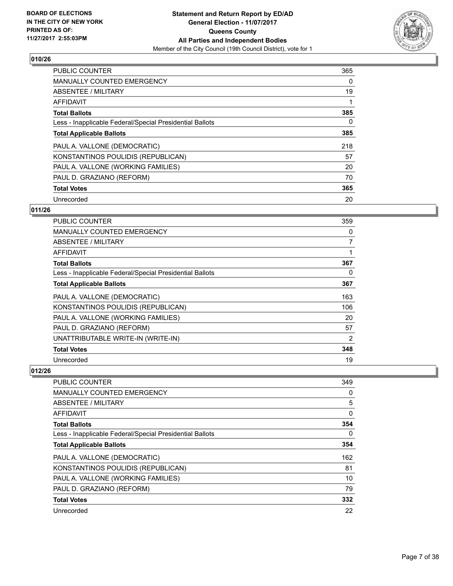

| <b>PUBLIC COUNTER</b>                                    | 365 |
|----------------------------------------------------------|-----|
| <b>MANUALLY COUNTED EMERGENCY</b>                        | 0   |
| ABSENTEE / MILITARY                                      | 19  |
| AFFIDAVIT                                                |     |
| <b>Total Ballots</b>                                     | 385 |
| Less - Inapplicable Federal/Special Presidential Ballots | 0   |
| <b>Total Applicable Ballots</b>                          | 385 |
| PAUL A. VALLONE (DEMOCRATIC)                             | 218 |
| KONSTANTINOS POULIDIS (REPUBLICAN)                       | 57  |
| PAUL A. VALLONE (WORKING FAMILIES)                       | 20  |
| PAUL D. GRAZIANO (REFORM)                                | 70  |
| <b>Total Votes</b>                                       | 365 |
| Unrecorded                                               | 20  |

## **011/26**

| <b>PUBLIC COUNTER</b>                                    | 359 |
|----------------------------------------------------------|-----|
| MANUALLY COUNTED EMERGENCY                               | 0   |
| ABSENTEE / MILITARY                                      | 7   |
| AFFIDAVIT                                                | 1   |
| <b>Total Ballots</b>                                     | 367 |
| Less - Inapplicable Federal/Special Presidential Ballots | 0   |
| <b>Total Applicable Ballots</b>                          | 367 |
| PAUL A. VALLONE (DEMOCRATIC)                             | 163 |
| KONSTANTINOS POULIDIS (REPUBLICAN)                       | 106 |
| PAUL A. VALLONE (WORKING FAMILIES)                       | 20  |
| PAUL D. GRAZIANO (REFORM)                                | 57  |
| UNATTRIBUTABLE WRITE-IN (WRITE-IN)                       | 2   |
| <b>Total Votes</b>                                       | 348 |
| Unrecorded                                               | 19  |

| <b>PUBLIC COUNTER</b>                                    | 349 |
|----------------------------------------------------------|-----|
| MANUALLY COUNTED EMERGENCY                               | 0   |
| ABSENTEE / MILITARY                                      | 5   |
| AFFIDAVIT                                                | 0   |
| <b>Total Ballots</b>                                     | 354 |
| Less - Inapplicable Federal/Special Presidential Ballots | 0   |
| <b>Total Applicable Ballots</b>                          | 354 |
| PAUL A. VALLONE (DEMOCRATIC)                             | 162 |
| KONSTANTINOS POULIDIS (REPUBLICAN)                       | 81  |
| PAUL A. VALLONE (WORKING FAMILIES)                       | 10  |
| PAUL D. GRAZIANO (REFORM)                                | 79  |
| <b>Total Votes</b>                                       | 332 |
| Unrecorded                                               | 22  |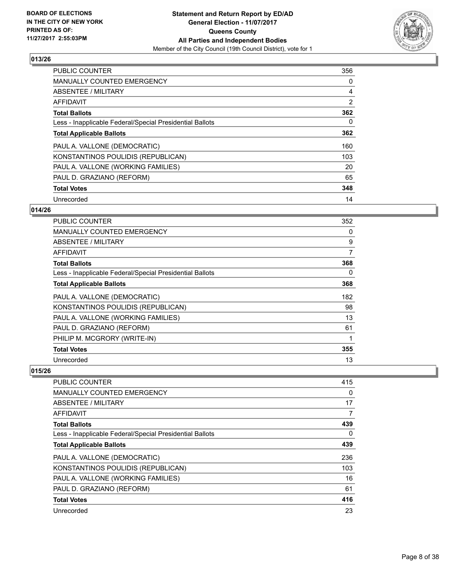

| <b>PUBLIC COUNTER</b>                                    | 356 |
|----------------------------------------------------------|-----|
| <b>MANUALLY COUNTED EMERGENCY</b>                        | 0   |
| ABSENTEE / MILITARY                                      | 4   |
| <b>AFFIDAVIT</b>                                         | 2   |
| <b>Total Ballots</b>                                     | 362 |
| Less - Inapplicable Federal/Special Presidential Ballots | 0   |
| <b>Total Applicable Ballots</b>                          | 362 |
| PAUL A. VALLONE (DEMOCRATIC)                             | 160 |
| KONSTANTINOS POULIDIS (REPUBLICAN)                       | 103 |
| PAUL A. VALLONE (WORKING FAMILIES)                       | 20  |
| PAUL D. GRAZIANO (REFORM)                                | 65  |
| <b>Total Votes</b>                                       | 348 |
| Unrecorded                                               | 14  |

## **014/26**

| <b>PUBLIC COUNTER</b>                                    | 352 |
|----------------------------------------------------------|-----|
| <b>MANUALLY COUNTED EMERGENCY</b>                        | 0   |
| ABSENTEE / MILITARY                                      | 9   |
| AFFIDAVIT                                                | 7   |
| <b>Total Ballots</b>                                     | 368 |
| Less - Inapplicable Federal/Special Presidential Ballots | 0   |
| <b>Total Applicable Ballots</b>                          | 368 |
| PAUL A. VALLONE (DEMOCRATIC)                             | 182 |
| KONSTANTINOS POULIDIS (REPUBLICAN)                       | 98  |
| PAUL A. VALLONE (WORKING FAMILIES)                       | 13  |
| PAUL D. GRAZIANO (REFORM)                                | 61  |
| PHILIP M. MCGRORY (WRITE-IN)                             |     |
| <b>Total Votes</b>                                       | 355 |
| Unrecorded                                               | 13  |

| PUBLIC COUNTER                                           | 415 |
|----------------------------------------------------------|-----|
| <b>MANUALLY COUNTED EMERGENCY</b>                        | 0   |
| ABSENTEE / MILITARY                                      | 17  |
| AFFIDAVIT                                                | 7   |
| <b>Total Ballots</b>                                     | 439 |
| Less - Inapplicable Federal/Special Presidential Ballots | 0   |
| <b>Total Applicable Ballots</b>                          | 439 |
| PAUL A. VALLONE (DEMOCRATIC)                             | 236 |
| KONSTANTINOS POULIDIS (REPUBLICAN)                       | 103 |
| PAUL A. VALLONE (WORKING FAMILIES)                       | 16  |
| PAUL D. GRAZIANO (REFORM)                                | 61  |
| <b>Total Votes</b>                                       | 416 |
| Unrecorded                                               | 23  |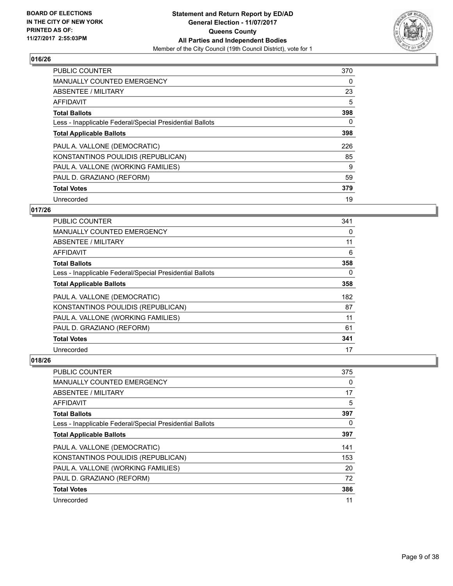

| <b>PUBLIC COUNTER</b>                                    | 370 |
|----------------------------------------------------------|-----|
| <b>MANUALLY COUNTED EMERGENCY</b>                        | 0   |
| ABSENTEE / MILITARY                                      | 23  |
| <b>AFFIDAVIT</b>                                         | 5   |
| <b>Total Ballots</b>                                     | 398 |
| Less - Inapplicable Federal/Special Presidential Ballots | 0   |
| <b>Total Applicable Ballots</b>                          | 398 |
| PAUL A. VALLONE (DEMOCRATIC)                             | 226 |
| KONSTANTINOS POULIDIS (REPUBLICAN)                       | 85  |
| PAUL A. VALLONE (WORKING FAMILIES)                       | 9   |
| PAUL D. GRAZIANO (REFORM)                                | 59  |
| <b>Total Votes</b>                                       | 379 |
| Unrecorded                                               | 19  |

#### **017/26**

| <b>PUBLIC COUNTER</b>                                    | 341 |
|----------------------------------------------------------|-----|
| MANUALLY COUNTED EMERGENCY                               | 0   |
| ABSENTEE / MILITARY                                      | 11  |
| AFFIDAVIT                                                | 6   |
| <b>Total Ballots</b>                                     | 358 |
| Less - Inapplicable Federal/Special Presidential Ballots | 0   |
| <b>Total Applicable Ballots</b>                          | 358 |
| PAUL A. VALLONE (DEMOCRATIC)                             | 182 |
| KONSTANTINOS POULIDIS (REPUBLICAN)                       | 87  |
| PAUL A. VALLONE (WORKING FAMILIES)                       | 11  |
| PAUL D. GRAZIANO (REFORM)                                | 61  |
| <b>Total Votes</b>                                       | 341 |
| Unrecorded                                               | 17  |

| <b>PUBLIC COUNTER</b>                                    | 375 |
|----------------------------------------------------------|-----|
| <b>MANUALLY COUNTED EMERGENCY</b>                        | 0   |
| ABSENTEE / MILITARY                                      | 17  |
| AFFIDAVIT                                                | 5   |
| <b>Total Ballots</b>                                     | 397 |
| Less - Inapplicable Federal/Special Presidential Ballots | 0   |
| <b>Total Applicable Ballots</b>                          | 397 |
| PAUL A. VALLONE (DEMOCRATIC)                             | 141 |
| KONSTANTINOS POULIDIS (REPUBLICAN)                       | 153 |
| PAUL A. VALLONE (WORKING FAMILIES)                       | 20  |
| PAUL D. GRAZIANO (REFORM)                                | 72  |
| <b>Total Votes</b>                                       | 386 |
| Unrecorded                                               | 11  |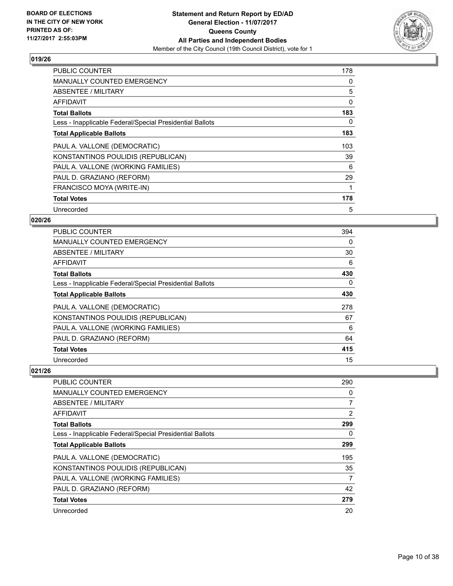

| <b>PUBLIC COUNTER</b>                                    | 178 |
|----------------------------------------------------------|-----|
| <b>MANUALLY COUNTED EMERGENCY</b>                        | 0   |
| ABSENTEE / MILITARY                                      | 5   |
| <b>AFFIDAVIT</b>                                         | 0   |
| <b>Total Ballots</b>                                     | 183 |
| Less - Inapplicable Federal/Special Presidential Ballots | 0   |
| <b>Total Applicable Ballots</b>                          | 183 |
| PAUL A. VALLONE (DEMOCRATIC)                             | 103 |
| KONSTANTINOS POULIDIS (REPUBLICAN)                       | 39  |
| PAUL A. VALLONE (WORKING FAMILIES)                       | 6   |
| PAUL D. GRAZIANO (REFORM)                                | 29  |
| FRANCISCO MOYA (WRITE-IN)                                |     |
| <b>Total Votes</b>                                       | 178 |
| Unrecorded                                               | 5   |

## **020/26**

| <b>PUBLIC COUNTER</b>                                    | 394 |
|----------------------------------------------------------|-----|
| <b>MANUALLY COUNTED EMERGENCY</b>                        | 0   |
| ABSENTEE / MILITARY                                      | 30  |
| AFFIDAVIT                                                | 6   |
| <b>Total Ballots</b>                                     | 430 |
| Less - Inapplicable Federal/Special Presidential Ballots | 0   |
| <b>Total Applicable Ballots</b>                          | 430 |
| PAUL A. VALLONE (DEMOCRATIC)                             | 278 |
| KONSTANTINOS POULIDIS (REPUBLICAN)                       | 67  |
| PAUL A. VALLONE (WORKING FAMILIES)                       | 6   |
| PAUL D. GRAZIANO (REFORM)                                | 64  |
| <b>Total Votes</b>                                       | 415 |
| Unrecorded                                               | 15  |

| <b>PUBLIC COUNTER</b>                                    | 290            |
|----------------------------------------------------------|----------------|
| <b>MANUALLY COUNTED EMERGENCY</b>                        | 0              |
| ABSENTEE / MILITARY                                      | $\overline{7}$ |
| AFFIDAVIT                                                | $\overline{2}$ |
| <b>Total Ballots</b>                                     | 299            |
| Less - Inapplicable Federal/Special Presidential Ballots | 0              |
| <b>Total Applicable Ballots</b>                          | 299            |
| PAUL A. VALLONE (DEMOCRATIC)                             | 195            |
| KONSTANTINOS POULIDIS (REPUBLICAN)                       | 35             |
| PAUL A. VALLONE (WORKING FAMILIES)                       | 7              |
| PAUL D. GRAZIANO (REFORM)                                | 42             |
| <b>Total Votes</b>                                       | 279            |
| Unrecorded                                               | 20             |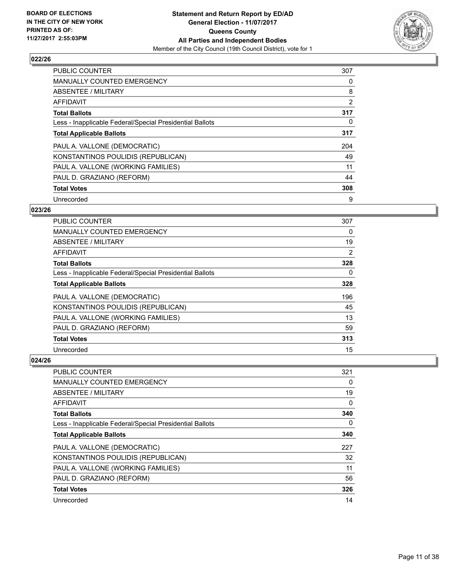

| <b>PUBLIC COUNTER</b>                                    | 307 |
|----------------------------------------------------------|-----|
| <b>MANUALLY COUNTED EMERGENCY</b>                        | 0   |
| ABSENTEE / MILITARY                                      | 8   |
| <b>AFFIDAVIT</b>                                         | 2   |
| <b>Total Ballots</b>                                     | 317 |
| Less - Inapplicable Federal/Special Presidential Ballots | 0   |
| <b>Total Applicable Ballots</b>                          | 317 |
| PAUL A. VALLONE (DEMOCRATIC)                             | 204 |
| KONSTANTINOS POULIDIS (REPUBLICAN)                       | 49  |
| PAUL A. VALLONE (WORKING FAMILIES)                       | 11  |
| PAUL D. GRAZIANO (REFORM)                                | 44  |
| <b>Total Votes</b>                                       | 308 |
| Unrecorded                                               | 9   |

#### **023/26**

| <b>PUBLIC COUNTER</b>                                    | 307 |
|----------------------------------------------------------|-----|
| MANUALLY COUNTED EMERGENCY                               | 0   |
| ABSENTEE / MILITARY                                      | 19  |
| AFFIDAVIT                                                | 2   |
| <b>Total Ballots</b>                                     | 328 |
| Less - Inapplicable Federal/Special Presidential Ballots | 0   |
| <b>Total Applicable Ballots</b>                          | 328 |
| PAUL A. VALLONE (DEMOCRATIC)                             | 196 |
| KONSTANTINOS POULIDIS (REPUBLICAN)                       | 45  |
| PAUL A. VALLONE (WORKING FAMILIES)                       | 13  |
| PAUL D. GRAZIANO (REFORM)                                | 59  |
| <b>Total Votes</b>                                       | 313 |
| Unrecorded                                               | 15  |

| <b>PUBLIC COUNTER</b>                                    | 321 |
|----------------------------------------------------------|-----|
| MANUALLY COUNTED EMERGENCY                               | 0   |
| ABSENTEE / MILITARY                                      | 19  |
| AFFIDAVIT                                                | 0   |
| <b>Total Ballots</b>                                     | 340 |
| Less - Inapplicable Federal/Special Presidential Ballots | 0   |
| <b>Total Applicable Ballots</b>                          | 340 |
| PAUL A. VALLONE (DEMOCRATIC)                             | 227 |
| KONSTANTINOS POULIDIS (REPUBLICAN)                       | 32  |
| PAUL A. VALLONE (WORKING FAMILIES)                       | 11  |
| PAUL D. GRAZIANO (REFORM)                                | 56  |
| <b>Total Votes</b>                                       | 326 |
| Unrecorded                                               | 14  |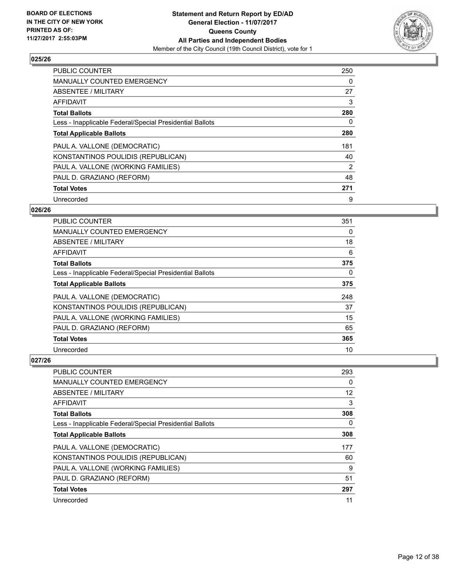

| <b>PUBLIC COUNTER</b>                                    | 250 |
|----------------------------------------------------------|-----|
| <b>MANUALLY COUNTED EMERGENCY</b>                        | 0   |
| ABSENTEE / MILITARY                                      | 27  |
| <b>AFFIDAVIT</b>                                         | 3   |
| <b>Total Ballots</b>                                     | 280 |
| Less - Inapplicable Federal/Special Presidential Ballots | 0   |
| <b>Total Applicable Ballots</b>                          | 280 |
| PAUL A. VALLONE (DEMOCRATIC)                             | 181 |
| KONSTANTINOS POULIDIS (REPUBLICAN)                       | 40  |
| PAUL A. VALLONE (WORKING FAMILIES)                       | 2   |
| PAUL D. GRAZIANO (REFORM)                                | 48  |
| <b>Total Votes</b>                                       | 271 |
| Unrecorded                                               | 9   |

## **026/26**

| <b>PUBLIC COUNTER</b>                                    | 351 |
|----------------------------------------------------------|-----|
| MANUALLY COUNTED EMERGENCY                               | 0   |
| ABSENTEE / MILITARY                                      | 18  |
| AFFIDAVIT                                                | 6   |
| <b>Total Ballots</b>                                     | 375 |
| Less - Inapplicable Federal/Special Presidential Ballots | 0   |
| <b>Total Applicable Ballots</b>                          | 375 |
| PAUL A. VALLONE (DEMOCRATIC)                             | 248 |
| KONSTANTINOS POULIDIS (REPUBLICAN)                       | 37  |
| PAUL A. VALLONE (WORKING FAMILIES)                       | 15  |
| PAUL D. GRAZIANO (REFORM)                                | 65  |
| <b>Total Votes</b>                                       | 365 |
| Unrecorded                                               | 10  |

| <b>PUBLIC COUNTER</b>                                    | 293 |
|----------------------------------------------------------|-----|
| <b>MANUALLY COUNTED EMERGENCY</b>                        | 0   |
| ABSENTEE / MILITARY                                      | 12  |
| AFFIDAVIT                                                | 3   |
| <b>Total Ballots</b>                                     | 308 |
| Less - Inapplicable Federal/Special Presidential Ballots | 0   |
| <b>Total Applicable Ballots</b>                          | 308 |
| PAUL A. VALLONE (DEMOCRATIC)                             | 177 |
| KONSTANTINOS POULIDIS (REPUBLICAN)                       | 60  |
| PAUL A. VALLONE (WORKING FAMILIES)                       | 9   |
| PAUL D. GRAZIANO (REFORM)                                | 51  |
| <b>Total Votes</b>                                       | 297 |
| Unrecorded                                               | 11  |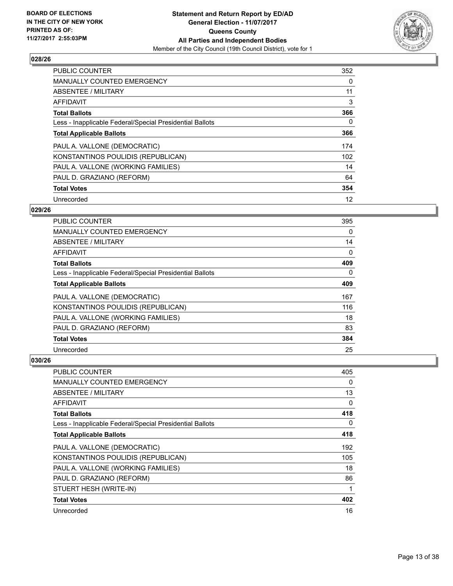

| <b>PUBLIC COUNTER</b>                                    | 352 |
|----------------------------------------------------------|-----|
| <b>MANUALLY COUNTED EMERGENCY</b>                        | 0   |
| ABSENTEE / MILITARY                                      | 11  |
| <b>AFFIDAVIT</b>                                         | 3   |
| <b>Total Ballots</b>                                     | 366 |
| Less - Inapplicable Federal/Special Presidential Ballots | 0   |
| <b>Total Applicable Ballots</b>                          | 366 |
| PAUL A. VALLONE (DEMOCRATIC)                             | 174 |
| KONSTANTINOS POULIDIS (REPUBLICAN)                       | 102 |
| PAUL A. VALLONE (WORKING FAMILIES)                       | 14  |
| PAUL D. GRAZIANO (REFORM)                                | 64  |
| <b>Total Votes</b>                                       | 354 |
| Unrecorded                                               | 12  |

## **029/26**

| <b>PUBLIC COUNTER</b>                                    | 395 |
|----------------------------------------------------------|-----|
| <b>MANUALLY COUNTED EMERGENCY</b>                        | 0   |
| ABSENTEE / MILITARY                                      | 14  |
| <b>AFFIDAVIT</b>                                         | 0   |
| <b>Total Ballots</b>                                     | 409 |
| Less - Inapplicable Federal/Special Presidential Ballots | 0   |
| <b>Total Applicable Ballots</b>                          | 409 |
| PAUL A. VALLONE (DEMOCRATIC)                             | 167 |
| KONSTANTINOS POULIDIS (REPUBLICAN)                       | 116 |
| PAUL A. VALLONE (WORKING FAMILIES)                       | 18  |
| PAUL D. GRAZIANO (REFORM)                                | 83  |
| <b>Total Votes</b>                                       | 384 |
| Unrecorded                                               | 25  |

| PUBLIC COUNTER                                           | 405 |
|----------------------------------------------------------|-----|
| MANUALLY COUNTED EMERGENCY                               | 0   |
| ABSENTEE / MILITARY                                      | 13  |
| AFFIDAVIT                                                | 0   |
| <b>Total Ballots</b>                                     | 418 |
| Less - Inapplicable Federal/Special Presidential Ballots | 0   |
| <b>Total Applicable Ballots</b>                          | 418 |
| PAUL A. VALLONE (DEMOCRATIC)                             | 192 |
| KONSTANTINOS POULIDIS (REPUBLICAN)                       | 105 |
| PAUL A. VALLONE (WORKING FAMILIES)                       | 18  |
| PAUL D. GRAZIANO (REFORM)                                | 86  |
| STUERT HESH (WRITE-IN)                                   | 1   |
| <b>Total Votes</b>                                       | 402 |
| Unrecorded                                               | 16  |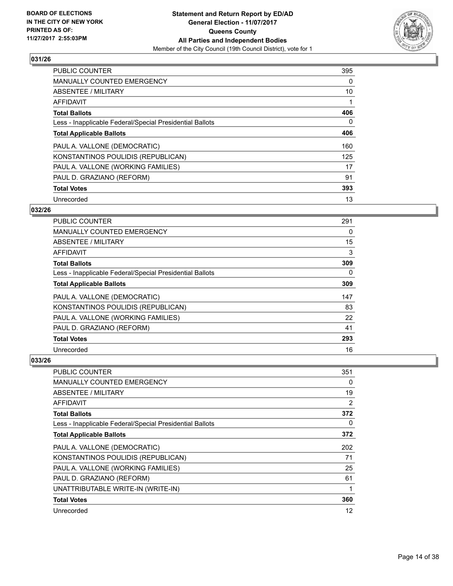

| <b>PUBLIC COUNTER</b>                                    | 395 |
|----------------------------------------------------------|-----|
| <b>MANUALLY COUNTED EMERGENCY</b>                        | 0   |
| ABSENTEE / MILITARY                                      | 10  |
| <b>AFFIDAVIT</b>                                         |     |
| <b>Total Ballots</b>                                     | 406 |
| Less - Inapplicable Federal/Special Presidential Ballots | 0   |
| <b>Total Applicable Ballots</b>                          | 406 |
| PAUL A. VALLONE (DEMOCRATIC)                             | 160 |
| KONSTANTINOS POULIDIS (REPUBLICAN)                       | 125 |
| PAUL A. VALLONE (WORKING FAMILIES)                       | 17  |
| PAUL D. GRAZIANO (REFORM)                                | 91  |
| <b>Total Votes</b>                                       | 393 |
| Unrecorded                                               | 13  |

## **032/26**

| PUBLIC COUNTER                                           | 291 |
|----------------------------------------------------------|-----|
| <b>MANUALLY COUNTED EMERGENCY</b>                        | 0   |
| ABSENTEE / MILITARY                                      | 15  |
| AFFIDAVIT                                                | 3   |
| <b>Total Ballots</b>                                     | 309 |
| Less - Inapplicable Federal/Special Presidential Ballots | 0   |
| <b>Total Applicable Ballots</b>                          | 309 |
| PAUL A. VALLONE (DEMOCRATIC)                             | 147 |
| KONSTANTINOS POULIDIS (REPUBLICAN)                       | 83  |
| PAUL A. VALLONE (WORKING FAMILIES)                       | 22  |
| PAUL D. GRAZIANO (REFORM)                                | 41  |
| <b>Total Votes</b>                                       | 293 |
| Unrecorded                                               | 16  |

| <b>PUBLIC COUNTER</b>                                    | 351            |
|----------------------------------------------------------|----------------|
| <b>MANUALLY COUNTED EMERGENCY</b>                        | 0              |
| ABSENTEE / MILITARY                                      | 19             |
| AFFIDAVIT                                                | $\overline{2}$ |
| <b>Total Ballots</b>                                     | 372            |
| Less - Inapplicable Federal/Special Presidential Ballots | 0              |
| <b>Total Applicable Ballots</b>                          | 372            |
| PAUL A. VALLONE (DEMOCRATIC)                             | 202            |
| KONSTANTINOS POULIDIS (REPUBLICAN)                       | 71             |
| PAUL A. VALLONE (WORKING FAMILIES)                       | 25             |
| PAUL D. GRAZIANO (REFORM)                                | 61             |
| UNATTRIBUTABLE WRITE-IN (WRITE-IN)                       | 1              |
| <b>Total Votes</b>                                       | 360            |
| Unrecorded                                               | 12             |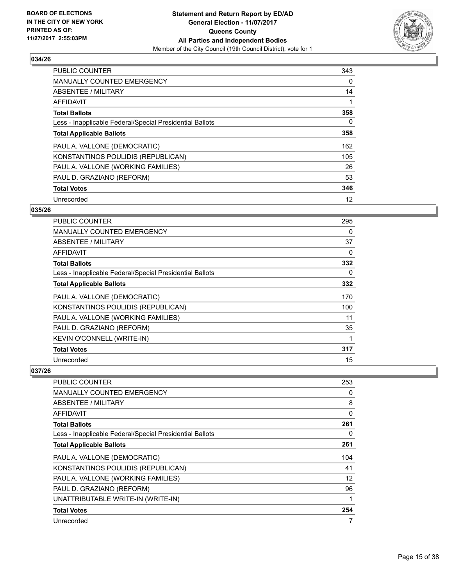

| <b>PUBLIC COUNTER</b>                                    | 343 |
|----------------------------------------------------------|-----|
| <b>MANUALLY COUNTED EMERGENCY</b>                        | 0   |
| ABSENTEE / MILITARY                                      | 14  |
| AFFIDAVIT                                                |     |
| <b>Total Ballots</b>                                     | 358 |
| Less - Inapplicable Federal/Special Presidential Ballots | 0   |
| <b>Total Applicable Ballots</b>                          | 358 |
| PAUL A. VALLONE (DEMOCRATIC)                             | 162 |
| KONSTANTINOS POULIDIS (REPUBLICAN)                       | 105 |
| PAUL A. VALLONE (WORKING FAMILIES)                       | 26  |
| PAUL D. GRAZIANO (REFORM)                                | 53  |
| <b>Total Votes</b>                                       | 346 |
| Unrecorded                                               | 12  |

## **035/26**

| PUBLIC COUNTER                                           | 295 |
|----------------------------------------------------------|-----|
| MANUALLY COUNTED EMERGENCY                               | 0   |
| ABSENTEE / MILITARY                                      | 37  |
| AFFIDAVIT                                                | 0   |
| <b>Total Ballots</b>                                     | 332 |
| Less - Inapplicable Federal/Special Presidential Ballots | 0   |
| <b>Total Applicable Ballots</b>                          | 332 |
| PAUL A. VALLONE (DEMOCRATIC)                             | 170 |
| KONSTANTINOS POULIDIS (REPUBLICAN)                       | 100 |
| PAUL A. VALLONE (WORKING FAMILIES)                       | 11  |
| PAUL D. GRAZIANO (REFORM)                                | 35  |
| KEVIN O'CONNELL (WRITE-IN)                               | 1   |
| <b>Total Votes</b>                                       | 317 |
| Unrecorded                                               | 15  |

| <b>PUBLIC COUNTER</b>                                    | 253 |
|----------------------------------------------------------|-----|
| <b>MANUALLY COUNTED EMERGENCY</b>                        | 0   |
| ABSENTEE / MILITARY                                      | 8   |
| <b>AFFIDAVIT</b>                                         | 0   |
| <b>Total Ballots</b>                                     | 261 |
| Less - Inapplicable Federal/Special Presidential Ballots | 0   |
| <b>Total Applicable Ballots</b>                          | 261 |
| PAUL A. VALLONE (DEMOCRATIC)                             | 104 |
| KONSTANTINOS POULIDIS (REPUBLICAN)                       | 41  |
| PAUL A. VALLONE (WORKING FAMILIES)                       | 12  |
| PAUL D. GRAZIANO (REFORM)                                | 96  |
| UNATTRIBUTABLE WRITE-IN (WRITE-IN)                       | 1   |
| <b>Total Votes</b>                                       | 254 |
| Unrecorded                                               | 7   |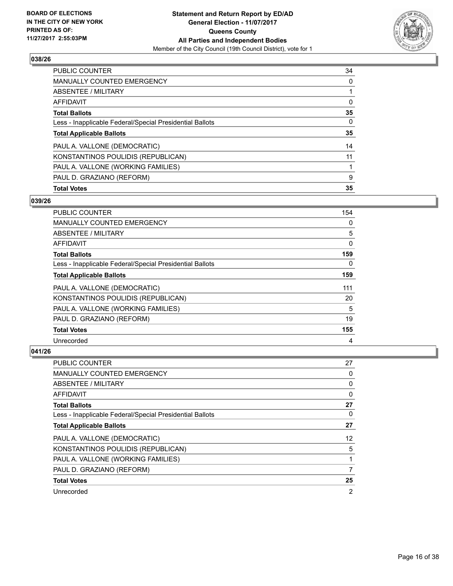

| PUBLIC COUNTER                                           | 34 |
|----------------------------------------------------------|----|
| <b>MANUALLY COUNTED EMERGENCY</b>                        | 0  |
| ABSENTEE / MILITARY                                      |    |
| AFFIDAVIT                                                | 0  |
| <b>Total Ballots</b>                                     | 35 |
| Less - Inapplicable Federal/Special Presidential Ballots | 0  |
| <b>Total Applicable Ballots</b>                          | 35 |
| PAUL A. VALLONE (DEMOCRATIC)                             | 14 |
| KONSTANTINOS POULIDIS (REPUBLICAN)                       | 11 |
| PAUL A. VALLONE (WORKING FAMILIES)                       |    |
| PAUL D. GRAZIANO (REFORM)                                | 9  |
| <b>Total Votes</b>                                       |    |

## **039/26**

| <b>PUBLIC COUNTER</b>                                    | 154 |
|----------------------------------------------------------|-----|
| <b>MANUALLY COUNTED EMERGENCY</b>                        | 0   |
| ABSENTEE / MILITARY                                      | 5   |
| AFFIDAVIT                                                | 0   |
| <b>Total Ballots</b>                                     | 159 |
| Less - Inapplicable Federal/Special Presidential Ballots | 0   |
| <b>Total Applicable Ballots</b>                          | 159 |
| PAUL A. VALLONE (DEMOCRATIC)                             | 111 |
| KONSTANTINOS POULIDIS (REPUBLICAN)                       | 20  |
| PAUL A. VALLONE (WORKING FAMILIES)                       | 5   |
| PAUL D. GRAZIANO (REFORM)                                | 19  |
| <b>Total Votes</b>                                       | 155 |
| Unrecorded                                               | 4   |

| <b>PUBLIC COUNTER</b>                                    | 27             |
|----------------------------------------------------------|----------------|
| <b>MANUALLY COUNTED EMERGENCY</b>                        | 0              |
| ABSENTEE / MILITARY                                      | 0              |
| AFFIDAVIT                                                | 0              |
| <b>Total Ballots</b>                                     | 27             |
| Less - Inapplicable Federal/Special Presidential Ballots | 0              |
| <b>Total Applicable Ballots</b>                          | 27             |
| PAUL A. VALLONE (DEMOCRATIC)                             | 12             |
| KONSTANTINOS POULIDIS (REPUBLICAN)                       | 5              |
| PAUL A. VALLONE (WORKING FAMILIES)                       | 1              |
| PAUL D. GRAZIANO (REFORM)                                | 7              |
| <b>Total Votes</b>                                       | 25             |
| Unrecorded                                               | $\overline{2}$ |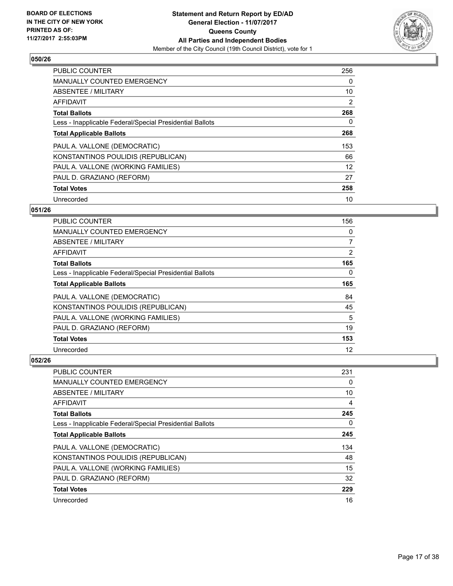

| <b>PUBLIC COUNTER</b>                                    | 256 |
|----------------------------------------------------------|-----|
| <b>MANUALLY COUNTED EMERGENCY</b>                        | 0   |
| ABSENTEE / MILITARY                                      | 10  |
| <b>AFFIDAVIT</b>                                         | 2   |
| <b>Total Ballots</b>                                     | 268 |
| Less - Inapplicable Federal/Special Presidential Ballots | 0   |
| <b>Total Applicable Ballots</b>                          | 268 |
| PAUL A. VALLONE (DEMOCRATIC)                             | 153 |
| KONSTANTINOS POULIDIS (REPUBLICAN)                       | 66  |
| PAUL A. VALLONE (WORKING FAMILIES)                       | 12  |
| PAUL D. GRAZIANO (REFORM)                                | 27  |
| <b>Total Votes</b>                                       | 258 |
| Unrecorded                                               | 10  |

## **051/26**

| <b>PUBLIC COUNTER</b>                                    | 156            |
|----------------------------------------------------------|----------------|
| MANUALLY COUNTED EMERGENCY                               | 0              |
| ABSENTEE / MILITARY                                      | $\overline{7}$ |
| AFFIDAVIT                                                | $\overline{2}$ |
| <b>Total Ballots</b>                                     | 165            |
| Less - Inapplicable Federal/Special Presidential Ballots | 0              |
| <b>Total Applicable Ballots</b>                          | 165            |
| PAUL A. VALLONE (DEMOCRATIC)                             | 84             |
| KONSTANTINOS POULIDIS (REPUBLICAN)                       | 45             |
| PAUL A. VALLONE (WORKING FAMILIES)                       | 5              |
| PAUL D. GRAZIANO (REFORM)                                | 19             |
| <b>Total Votes</b>                                       | 153            |
| Unrecorded                                               | 12             |

| <b>PUBLIC COUNTER</b>                                    | 231 |
|----------------------------------------------------------|-----|
| <b>MANUALLY COUNTED EMERGENCY</b>                        | 0   |
| ABSENTEE / MILITARY                                      | 10  |
| AFFIDAVIT                                                | 4   |
| <b>Total Ballots</b>                                     | 245 |
| Less - Inapplicable Federal/Special Presidential Ballots | 0   |
| <b>Total Applicable Ballots</b>                          | 245 |
| PAUL A. VALLONE (DEMOCRATIC)                             | 134 |
| KONSTANTINOS POULIDIS (REPUBLICAN)                       | 48  |
| PAUL A. VALLONE (WORKING FAMILIES)                       | 15  |
| PAUL D. GRAZIANO (REFORM)                                | 32  |
| <b>Total Votes</b>                                       | 229 |
| Unrecorded                                               | 16  |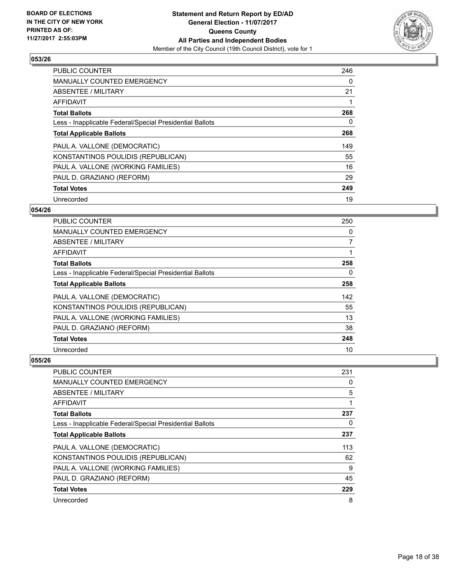

| <b>PUBLIC COUNTER</b>                                    | 246 |
|----------------------------------------------------------|-----|
| <b>MANUALLY COUNTED EMERGENCY</b>                        | 0   |
| ABSENTEE / MILITARY                                      | 21  |
| AFFIDAVIT                                                |     |
| <b>Total Ballots</b>                                     | 268 |
| Less - Inapplicable Federal/Special Presidential Ballots | 0   |
| <b>Total Applicable Ballots</b>                          | 268 |
| PAUL A. VALLONE (DEMOCRATIC)                             | 149 |
| KONSTANTINOS POULIDIS (REPUBLICAN)                       | 55  |
| PAUL A. VALLONE (WORKING FAMILIES)                       | 16  |
| PAUL D. GRAZIANO (REFORM)                                | 29  |
| <b>Total Votes</b>                                       | 249 |
| Unrecorded                                               | 19  |

## **054/26**

| <b>PUBLIC COUNTER</b>                                    | 250            |
|----------------------------------------------------------|----------------|
| <b>MANUALLY COUNTED EMERGENCY</b>                        | 0              |
| ABSENTEE / MILITARY                                      | $\overline{7}$ |
| AFFIDAVIT                                                |                |
| <b>Total Ballots</b>                                     | 258            |
| Less - Inapplicable Federal/Special Presidential Ballots | 0              |
| <b>Total Applicable Ballots</b>                          | 258            |
| PAUL A. VALLONE (DEMOCRATIC)                             | 142            |
| KONSTANTINOS POULIDIS (REPUBLICAN)                       | 55             |
| PAUL A. VALLONE (WORKING FAMILIES)                       | 13             |
| PAUL D. GRAZIANO (REFORM)                                | 38             |
| <b>Total Votes</b>                                       | 248            |
| Unrecorded                                               | 10             |

| PUBLIC COUNTER                                           | 231 |
|----------------------------------------------------------|-----|
| <b>MANUALLY COUNTED EMERGENCY</b>                        | 0   |
| ABSENTEE / MILITARY                                      | 5   |
| AFFIDAVIT                                                | 1   |
| <b>Total Ballots</b>                                     | 237 |
| Less - Inapplicable Federal/Special Presidential Ballots | 0   |
| <b>Total Applicable Ballots</b>                          | 237 |
| PAUL A. VALLONE (DEMOCRATIC)                             | 113 |
| KONSTANTINOS POULIDIS (REPUBLICAN)                       | 62  |
| PAUL A. VALLONE (WORKING FAMILIES)                       | 9   |
| PAUL D. GRAZIANO (REFORM)                                | 45  |
| <b>Total Votes</b>                                       | 229 |
| Unrecorded                                               | 8   |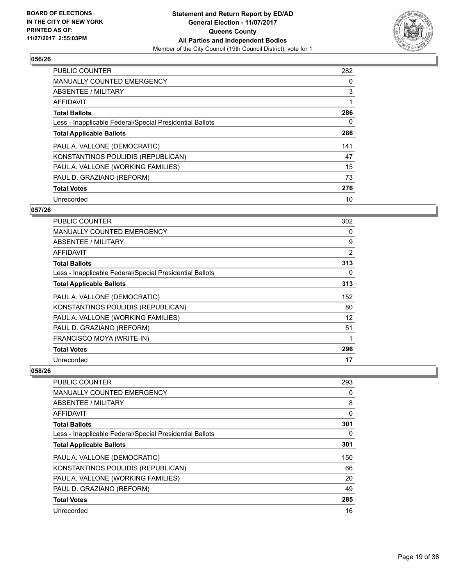

| <b>PUBLIC COUNTER</b>                                    | 282 |
|----------------------------------------------------------|-----|
| <b>MANUALLY COUNTED EMERGENCY</b>                        | 0   |
| ABSENTEE / MILITARY                                      | 3   |
| AFFIDAVIT                                                |     |
| <b>Total Ballots</b>                                     | 286 |
| Less - Inapplicable Federal/Special Presidential Ballots | 0   |
| <b>Total Applicable Ballots</b>                          | 286 |
| PAUL A. VALLONE (DEMOCRATIC)                             | 141 |
| KONSTANTINOS POULIDIS (REPUBLICAN)                       | 47  |
| PAUL A. VALLONE (WORKING FAMILIES)                       | 15  |
| PAUL D. GRAZIANO (REFORM)                                | 73  |
| <b>Total Votes</b>                                       | 276 |
| Unrecorded                                               | 10  |

## **057/26**

| <b>PUBLIC COUNTER</b>                                    | 302 |
|----------------------------------------------------------|-----|
| MANUALLY COUNTED EMERGENCY                               | 0   |
| ABSENTEE / MILITARY                                      | 9   |
| AFFIDAVIT                                                | 2   |
| <b>Total Ballots</b>                                     | 313 |
| Less - Inapplicable Federal/Special Presidential Ballots | 0   |
| <b>Total Applicable Ballots</b>                          | 313 |
| PAUL A. VALLONE (DEMOCRATIC)                             | 152 |
| KONSTANTINOS POULIDIS (REPUBLICAN)                       | 80  |
| PAUL A. VALLONE (WORKING FAMILIES)                       | 12  |
| PAUL D. GRAZIANO (REFORM)                                | 51  |
| FRANCISCO MOYA (WRITE-IN)                                | 1   |
| <b>Total Votes</b>                                       | 296 |
| Unrecorded                                               | 17  |

| <b>PUBLIC COUNTER</b>                                    | 293 |
|----------------------------------------------------------|-----|
| <b>MANUALLY COUNTED EMERGENCY</b>                        | 0   |
| ABSENTEE / MILITARY                                      | 8   |
| AFFIDAVIT                                                | 0   |
| <b>Total Ballots</b>                                     | 301 |
| Less - Inapplicable Federal/Special Presidential Ballots | 0   |
| <b>Total Applicable Ballots</b>                          | 301 |
| PAUL A. VALLONE (DEMOCRATIC)                             | 150 |
| KONSTANTINOS POULIDIS (REPUBLICAN)                       | 66  |
| PAUL A. VALLONE (WORKING FAMILIES)                       | 20  |
| PAUL D. GRAZIANO (REFORM)                                | 49  |
| <b>Total Votes</b>                                       | 285 |
| Unrecorded                                               | 16  |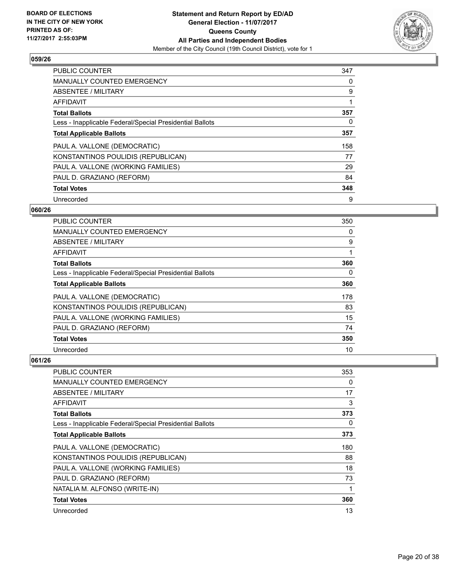

| PUBLIC COUNTER                                           | 347 |
|----------------------------------------------------------|-----|
| <b>MANUALLY COUNTED EMERGENCY</b>                        | 0   |
| ABSENTEE / MILITARY                                      | 9   |
| AFFIDAVIT                                                | 1   |
| <b>Total Ballots</b>                                     | 357 |
| Less - Inapplicable Federal/Special Presidential Ballots | 0   |
| <b>Total Applicable Ballots</b>                          | 357 |
| PAUL A. VALLONE (DEMOCRATIC)                             | 158 |
| KONSTANTINOS POULIDIS (REPUBLICAN)                       | 77  |
| PAUL A. VALLONE (WORKING FAMILIES)                       | 29  |
| PAUL D. GRAZIANO (REFORM)                                | 84  |
| <b>Total Votes</b>                                       | 348 |
| Unrecorded                                               | 9   |

## **060/26**

| <b>PUBLIC COUNTER</b>                                    | 350 |
|----------------------------------------------------------|-----|
| <b>MANUALLY COUNTED EMERGENCY</b>                        | 0   |
| ABSENTEE / MILITARY                                      | 9   |
| AFFIDAVIT                                                |     |
| <b>Total Ballots</b>                                     | 360 |
| Less - Inapplicable Federal/Special Presidential Ballots | 0   |
| <b>Total Applicable Ballots</b>                          | 360 |
| PAUL A. VALLONE (DEMOCRATIC)                             | 178 |
| KONSTANTINOS POULIDIS (REPUBLICAN)                       | 83  |
| PAUL A. VALLONE (WORKING FAMILIES)                       | 15  |
| PAUL D. GRAZIANO (REFORM)                                | 74  |
| <b>Total Votes</b>                                       | 350 |
| Unrecorded                                               | 10  |

| PUBLIC COUNTER                                           | 353 |
|----------------------------------------------------------|-----|
| <b>MANUALLY COUNTED EMERGENCY</b>                        | 0   |
| ABSENTEE / MILITARY                                      | 17  |
| AFFIDAVIT                                                | 3   |
| <b>Total Ballots</b>                                     | 373 |
| Less - Inapplicable Federal/Special Presidential Ballots | 0   |
| <b>Total Applicable Ballots</b>                          | 373 |
| PAUL A. VALLONE (DEMOCRATIC)                             | 180 |
| KONSTANTINOS POULIDIS (REPUBLICAN)                       | 88  |
| PAUL A. VALLONE (WORKING FAMILIES)                       | 18  |
| PAUL D. GRAZIANO (REFORM)                                | 73  |
| NATALIA M. ALFONSO (WRITE-IN)                            |     |
| <b>Total Votes</b>                                       | 360 |
| Unrecorded                                               | 13  |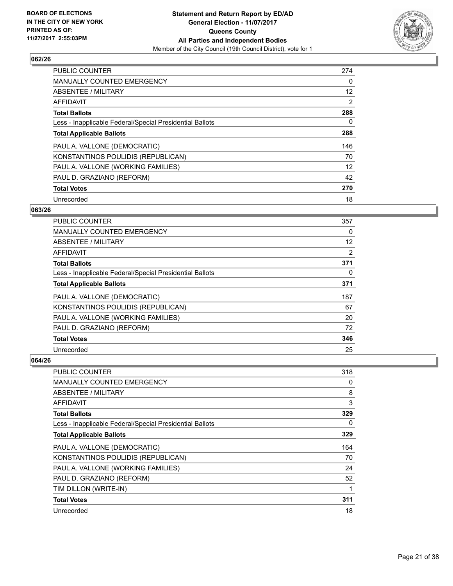

| <b>PUBLIC COUNTER</b>                                    | 274            |
|----------------------------------------------------------|----------------|
| <b>MANUALLY COUNTED EMERGENCY</b>                        | 0              |
| ABSENTEE / MILITARY                                      | 12             |
| AFFIDAVIT                                                | $\overline{2}$ |
| <b>Total Ballots</b>                                     | 288            |
| Less - Inapplicable Federal/Special Presidential Ballots | 0              |
| <b>Total Applicable Ballots</b>                          | 288            |
| PAUL A. VALLONE (DEMOCRATIC)                             | 146            |
| KONSTANTINOS POULIDIS (REPUBLICAN)                       | 70             |
| PAUL A. VALLONE (WORKING FAMILIES)                       | 12             |
| PAUL D. GRAZIANO (REFORM)                                | 42             |
| <b>Total Votes</b>                                       | 270            |
| Unrecorded                                               | 18             |

#### **063/26**

| <b>PUBLIC COUNTER</b>                                    | 357 |
|----------------------------------------------------------|-----|
| <b>MANUALLY COUNTED EMERGENCY</b>                        | 0   |
| ABSENTEE / MILITARY                                      | 12  |
| AFFIDAVIT                                                | 2   |
| <b>Total Ballots</b>                                     | 371 |
| Less - Inapplicable Federal/Special Presidential Ballots | 0   |
| <b>Total Applicable Ballots</b>                          | 371 |
| PAUL A. VALLONE (DEMOCRATIC)                             | 187 |
| KONSTANTINOS POULIDIS (REPUBLICAN)                       | 67  |
| PAUL A. VALLONE (WORKING FAMILIES)                       | 20  |
| PAUL D. GRAZIANO (REFORM)                                | 72  |
| <b>Total Votes</b>                                       | 346 |
| Unrecorded                                               | 25  |

| <b>PUBLIC COUNTER</b>                                    | 318 |
|----------------------------------------------------------|-----|
| <b>MANUALLY COUNTED EMERGENCY</b>                        | 0   |
| ABSENTEE / MILITARY                                      | 8   |
| AFFIDAVIT                                                | 3   |
| <b>Total Ballots</b>                                     | 329 |
| Less - Inapplicable Federal/Special Presidential Ballots | 0   |
| <b>Total Applicable Ballots</b>                          | 329 |
| PAUL A. VALLONE (DEMOCRATIC)                             | 164 |
| KONSTANTINOS POULIDIS (REPUBLICAN)                       | 70  |
| PAUL A. VALLONE (WORKING FAMILIES)                       | 24  |
| PAUL D. GRAZIANO (REFORM)                                | 52  |
| TIM DILLON (WRITE-IN)                                    | 1   |
| <b>Total Votes</b>                                       | 311 |
| Unrecorded                                               | 18  |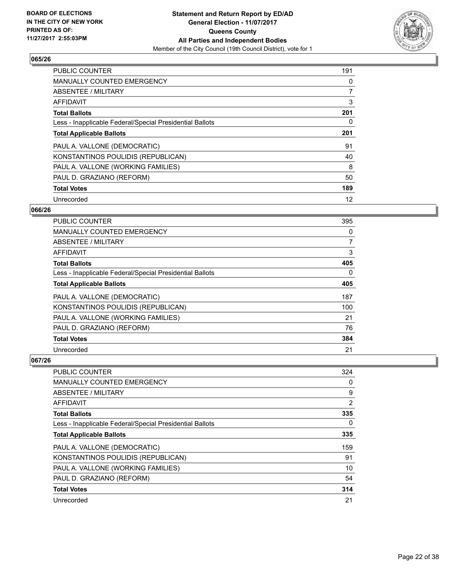

| <b>PUBLIC COUNTER</b>                                    | 191 |
|----------------------------------------------------------|-----|
| <b>MANUALLY COUNTED EMERGENCY</b>                        | 0   |
| ABSENTEE / MILITARY                                      | 7   |
| <b>AFFIDAVIT</b>                                         | 3   |
| <b>Total Ballots</b>                                     | 201 |
| Less - Inapplicable Federal/Special Presidential Ballots | 0   |
| <b>Total Applicable Ballots</b>                          | 201 |
| PAUL A. VALLONE (DEMOCRATIC)                             | 91  |
| KONSTANTINOS POULIDIS (REPUBLICAN)                       | 40  |
| PAUL A. VALLONE (WORKING FAMILIES)                       | 8   |
| PAUL D. GRAZIANO (REFORM)                                | 50  |
| <b>Total Votes</b>                                       | 189 |
| Unrecorded                                               | 12  |

## **066/26**

| <b>PUBLIC COUNTER</b>                                    | 395 |
|----------------------------------------------------------|-----|
| <b>MANUALLY COUNTED EMERGENCY</b>                        | 0   |
| ABSENTEE / MILITARY                                      | 7   |
| AFFIDAVIT                                                | 3   |
| <b>Total Ballots</b>                                     | 405 |
| Less - Inapplicable Federal/Special Presidential Ballots | 0   |
| <b>Total Applicable Ballots</b>                          | 405 |
| PAUL A. VALLONE (DEMOCRATIC)                             | 187 |
| KONSTANTINOS POULIDIS (REPUBLICAN)                       | 100 |
| PAUL A. VALLONE (WORKING FAMILIES)                       | 21  |
| PAUL D. GRAZIANO (REFORM)                                | 76  |
| <b>Total Votes</b>                                       | 384 |
| Unrecorded                                               | 21  |

| PUBLIC COUNTER                                           | 324            |
|----------------------------------------------------------|----------------|
| <b>MANUALLY COUNTED EMERGENCY</b>                        | 0              |
| ABSENTEE / MILITARY                                      | 9              |
| AFFIDAVIT                                                | $\overline{2}$ |
| <b>Total Ballots</b>                                     | 335            |
| Less - Inapplicable Federal/Special Presidential Ballots | 0              |
| <b>Total Applicable Ballots</b>                          | 335            |
| PAUL A. VALLONE (DEMOCRATIC)                             | 159            |
| KONSTANTINOS POULIDIS (REPUBLICAN)                       | 91             |
| PAUL A. VALLONE (WORKING FAMILIES)                       | 10             |
| PAUL D. GRAZIANO (REFORM)                                | 54             |
| <b>Total Votes</b>                                       | 314            |
| Unrecorded                                               | 21             |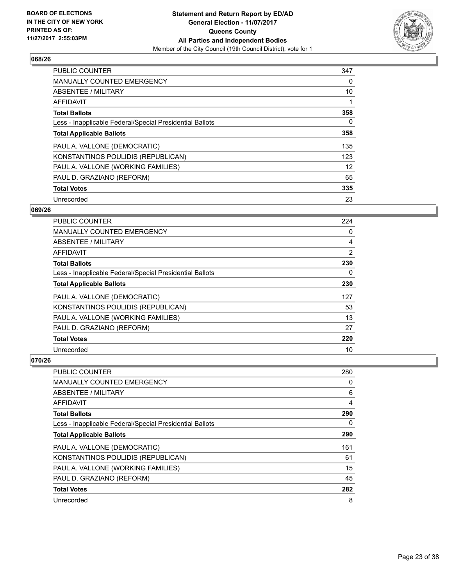

| <b>PUBLIC COUNTER</b>                                    | 347 |
|----------------------------------------------------------|-----|
| <b>MANUALLY COUNTED EMERGENCY</b>                        | 0   |
| ABSENTEE / MILITARY                                      | 10  |
| <b>AFFIDAVIT</b>                                         |     |
| <b>Total Ballots</b>                                     | 358 |
| Less - Inapplicable Federal/Special Presidential Ballots | 0   |
| <b>Total Applicable Ballots</b>                          | 358 |
| PAUL A. VALLONE (DEMOCRATIC)                             | 135 |
| KONSTANTINOS POULIDIS (REPUBLICAN)                       | 123 |
| PAUL A. VALLONE (WORKING FAMILIES)                       | 12  |
| PAUL D. GRAZIANO (REFORM)                                | 65  |
| <b>Total Votes</b>                                       | 335 |
| Unrecorded                                               | 23  |

#### **069/26**

| <b>PUBLIC COUNTER</b>                                    | 224 |
|----------------------------------------------------------|-----|
| <b>MANUALLY COUNTED EMERGENCY</b>                        | 0   |
| ABSENTEE / MILITARY                                      | 4   |
| AFFIDAVIT                                                | 2   |
| <b>Total Ballots</b>                                     | 230 |
| Less - Inapplicable Federal/Special Presidential Ballots | 0   |
| <b>Total Applicable Ballots</b>                          | 230 |
| PAUL A. VALLONE (DEMOCRATIC)                             | 127 |
| KONSTANTINOS POULIDIS (REPUBLICAN)                       | 53  |
| PAUL A. VALLONE (WORKING FAMILIES)                       | 13  |
| PAUL D. GRAZIANO (REFORM)                                | 27  |
| <b>Total Votes</b>                                       | 220 |
| Unrecorded                                               | 10  |

| PUBLIC COUNTER                                           | 280 |
|----------------------------------------------------------|-----|
| <b>MANUALLY COUNTED EMERGENCY</b>                        | 0   |
| ABSENTEE / MILITARY                                      | 6   |
| AFFIDAVIT                                                | 4   |
| <b>Total Ballots</b>                                     | 290 |
| Less - Inapplicable Federal/Special Presidential Ballots | 0   |
| <b>Total Applicable Ballots</b>                          | 290 |
| PAUL A. VALLONE (DEMOCRATIC)                             | 161 |
| KONSTANTINOS POULIDIS (REPUBLICAN)                       | 61  |
| PAUL A. VALLONE (WORKING FAMILIES)                       | 15  |
| PAUL D. GRAZIANO (REFORM)                                | 45  |
| <b>Total Votes</b>                                       | 282 |
| Unrecorded                                               | 8   |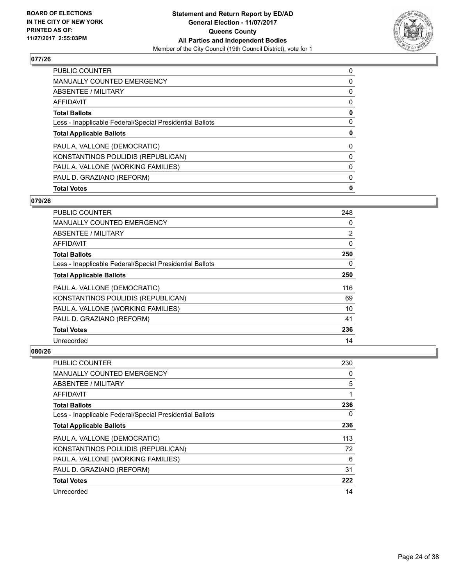

| <b>PUBLIC COUNTER</b>                                    | 0 |
|----------------------------------------------------------|---|
| MANUALLY COUNTED EMERGENCY                               | 0 |
| ABSENTEE / MILITARY                                      | 0 |
| AFFIDAVIT                                                | 0 |
| <b>Total Ballots</b>                                     | 0 |
| Less - Inapplicable Federal/Special Presidential Ballots | 0 |
| <b>Total Applicable Ballots</b>                          | 0 |
| PAUL A. VALLONE (DEMOCRATIC)                             | 0 |
| KONSTANTINOS POULIDIS (REPUBLICAN)                       | 0 |
| PAUL A. VALLONE (WORKING FAMILIES)                       | 0 |
| PAUL D. GRAZIANO (REFORM)                                | 0 |
| <b>Total Votes</b>                                       | 0 |

## **079/26**

| <b>PUBLIC COUNTER</b>                                    | 248 |
|----------------------------------------------------------|-----|
| <b>MANUALLY COUNTED EMERGENCY</b>                        | 0   |
| ABSENTEE / MILITARY                                      | 2   |
| AFFIDAVIT                                                | 0   |
| <b>Total Ballots</b>                                     | 250 |
| Less - Inapplicable Federal/Special Presidential Ballots | 0   |
| <b>Total Applicable Ballots</b>                          | 250 |
| PAUL A. VALLONE (DEMOCRATIC)                             | 116 |
| KONSTANTINOS POULIDIS (REPUBLICAN)                       | 69  |
| PAUL A. VALLONE (WORKING FAMILIES)                       | 10  |
| PAUL D. GRAZIANO (REFORM)                                | 41  |
| <b>Total Votes</b>                                       | 236 |
| Unrecorded                                               | 14  |

| <b>PUBLIC COUNTER</b>                                    | 230 |
|----------------------------------------------------------|-----|
| <b>MANUALLY COUNTED EMERGENCY</b>                        | 0   |
| ABSENTEE / MILITARY                                      | 5   |
| AFFIDAVIT                                                |     |
| <b>Total Ballots</b>                                     | 236 |
| Less - Inapplicable Federal/Special Presidential Ballots | 0   |
| <b>Total Applicable Ballots</b>                          | 236 |
| PAUL A. VALLONE (DEMOCRATIC)                             | 113 |
| KONSTANTINOS POULIDIS (REPUBLICAN)                       | 72  |
| PAUL A. VALLONE (WORKING FAMILIES)                       | 6   |
| PAUL D. GRAZIANO (REFORM)                                | 31  |
| <b>Total Votes</b>                                       | 222 |
| Unrecorded                                               | 14  |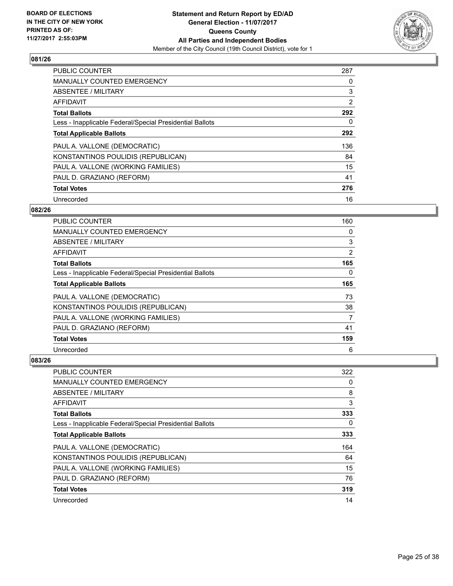

| <b>PUBLIC COUNTER</b>                                    | 287            |
|----------------------------------------------------------|----------------|
| <b>MANUALLY COUNTED EMERGENCY</b>                        | 0              |
| ABSENTEE / MILITARY                                      | 3              |
| AFFIDAVIT                                                | $\overline{2}$ |
| <b>Total Ballots</b>                                     | 292            |
| Less - Inapplicable Federal/Special Presidential Ballots | 0              |
| <b>Total Applicable Ballots</b>                          | 292            |
| PAUL A. VALLONE (DEMOCRATIC)                             | 136            |
| KONSTANTINOS POULIDIS (REPUBLICAN)                       | 84             |
| PAUL A. VALLONE (WORKING FAMILIES)                       | 15             |
| PAUL D. GRAZIANO (REFORM)                                | 41             |
| <b>Total Votes</b>                                       | 276            |
| Unrecorded                                               | 16             |

## **082/26**

| <b>PUBLIC COUNTER</b>                                    | 160            |
|----------------------------------------------------------|----------------|
| MANUALLY COUNTED EMERGENCY                               | 0              |
| ABSENTEE / MILITARY                                      | 3              |
| AFFIDAVIT                                                | $\overline{2}$ |
| <b>Total Ballots</b>                                     | 165            |
| Less - Inapplicable Federal/Special Presidential Ballots | 0              |
| <b>Total Applicable Ballots</b>                          | 165            |
| PAUL A. VALLONE (DEMOCRATIC)                             | 73             |
| KONSTANTINOS POULIDIS (REPUBLICAN)                       | 38             |
| PAUL A. VALLONE (WORKING FAMILIES)                       | 7              |
| PAUL D. GRAZIANO (REFORM)                                | 41             |
| <b>Total Votes</b>                                       | 159            |
| Unrecorded                                               | 6              |

| <b>PUBLIC COUNTER</b>                                    | 322 |
|----------------------------------------------------------|-----|
| <b>MANUALLY COUNTED EMERGENCY</b>                        | 0   |
| ABSENTEE / MILITARY                                      | 8   |
| AFFIDAVIT                                                | 3   |
| <b>Total Ballots</b>                                     | 333 |
| Less - Inapplicable Federal/Special Presidential Ballots | 0   |
| <b>Total Applicable Ballots</b>                          | 333 |
| PAUL A. VALLONE (DEMOCRATIC)                             | 164 |
| KONSTANTINOS POULIDIS (REPUBLICAN)                       | 64  |
| PAUL A. VALLONE (WORKING FAMILIES)                       | 15  |
| PAUL D. GRAZIANO (REFORM)                                | 76  |
| <b>Total Votes</b>                                       | 319 |
| Unrecorded                                               | 14  |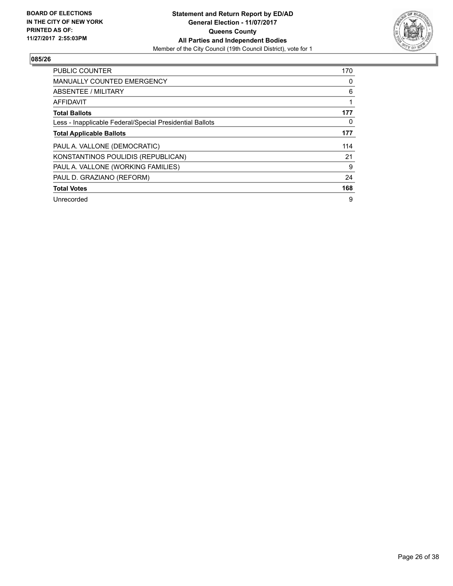

| <b>PUBLIC COUNTER</b>                                    | 170 |
|----------------------------------------------------------|-----|
| <b>MANUALLY COUNTED EMERGENCY</b>                        | 0   |
| ABSENTEE / MILITARY                                      | 6   |
| <b>AFFIDAVIT</b>                                         |     |
| <b>Total Ballots</b>                                     | 177 |
| Less - Inapplicable Federal/Special Presidential Ballots | 0   |
| <b>Total Applicable Ballots</b>                          | 177 |
| PAUL A. VALLONE (DEMOCRATIC)                             | 114 |
| KONSTANTINOS POULIDIS (REPUBLICAN)                       | 21  |
| PAUL A. VALLONE (WORKING FAMILIES)                       | 9   |
| PAUL D. GRAZIANO (REFORM)                                | 24  |
| <b>Total Votes</b>                                       | 168 |
| Unrecorded                                               | 9   |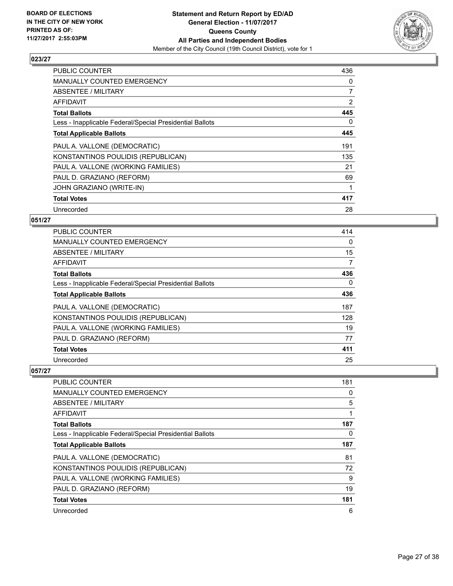

| <b>PUBLIC COUNTER</b>                                    | 436            |
|----------------------------------------------------------|----------------|
| <b>MANUALLY COUNTED EMERGENCY</b>                        | 0              |
| ABSENTEE / MILITARY                                      | $\overline{7}$ |
| <b>AFFIDAVIT</b>                                         | $\overline{2}$ |
| <b>Total Ballots</b>                                     | 445            |
| Less - Inapplicable Federal/Special Presidential Ballots | 0              |
| <b>Total Applicable Ballots</b>                          | 445            |
| PAUL A. VALLONE (DEMOCRATIC)                             | 191            |
| KONSTANTINOS POULIDIS (REPUBLICAN)                       | 135            |
| PAUL A. VALLONE (WORKING FAMILIES)                       | 21             |
| PAUL D. GRAZIANO (REFORM)                                | 69             |
| JOHN GRAZIANO (WRITE-IN)                                 |                |
| <b>Total Votes</b>                                       | 417            |
| Unrecorded                                               | 28             |

## **051/27**

| PUBLIC COUNTER                                           | 414 |
|----------------------------------------------------------|-----|
| <b>MANUALLY COUNTED EMERGENCY</b>                        | 0   |
| ABSENTEE / MILITARY                                      | 15  |
| AFFIDAVIT                                                | 7   |
| <b>Total Ballots</b>                                     | 436 |
| Less - Inapplicable Federal/Special Presidential Ballots | 0   |
| <b>Total Applicable Ballots</b>                          | 436 |
| PAUL A. VALLONE (DEMOCRATIC)                             | 187 |
| KONSTANTINOS POULIDIS (REPUBLICAN)                       | 128 |
| PAUL A. VALLONE (WORKING FAMILIES)                       | 19  |
| PAUL D. GRAZIANO (REFORM)                                | 77  |
| <b>Total Votes</b>                                       | 411 |
| Unrecorded                                               | 25  |

| <b>PUBLIC COUNTER</b>                                    | 181 |
|----------------------------------------------------------|-----|
| MANUALLY COUNTED EMERGENCY                               | 0   |
| ABSENTEE / MILITARY                                      | 5   |
| AFFIDAVIT                                                |     |
| <b>Total Ballots</b>                                     | 187 |
| Less - Inapplicable Federal/Special Presidential Ballots | 0   |
| <b>Total Applicable Ballots</b>                          | 187 |
| PAUL A. VALLONE (DEMOCRATIC)                             | 81  |
| KONSTANTINOS POULIDIS (REPUBLICAN)                       | 72  |
| PAUL A. VALLONE (WORKING FAMILIES)                       | 9   |
| PAUL D. GRAZIANO (REFORM)                                | 19  |
| <b>Total Votes</b>                                       | 181 |
| Unrecorded                                               | 6   |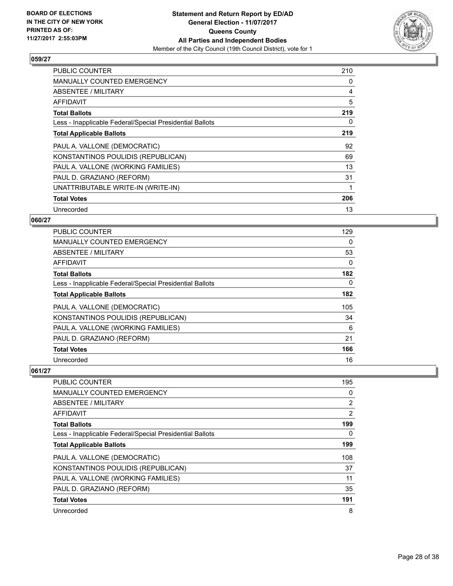

| <b>PUBLIC COUNTER</b>                                    | 210 |
|----------------------------------------------------------|-----|
| <b>MANUALLY COUNTED EMERGENCY</b>                        | 0   |
| ABSENTEE / MILITARY                                      | 4   |
| AFFIDAVIT                                                | 5   |
| <b>Total Ballots</b>                                     | 219 |
| Less - Inapplicable Federal/Special Presidential Ballots | 0   |
| <b>Total Applicable Ballots</b>                          | 219 |
| PAUL A. VALLONE (DEMOCRATIC)                             | 92  |
| KONSTANTINOS POULIDIS (REPUBLICAN)                       | 69  |
| PAUL A. VALLONE (WORKING FAMILIES)                       | 13  |
| PAUL D. GRAZIANO (REFORM)                                | 31  |
|                                                          |     |
| UNATTRIBUTABLE WRITE-IN (WRITE-IN)                       |     |
| <b>Total Votes</b>                                       | 206 |

## **060/27**

| PUBLIC COUNTER                                           | 129      |
|----------------------------------------------------------|----------|
| <b>MANUALLY COUNTED EMERGENCY</b>                        | 0        |
| ABSENTEE / MILITARY                                      | 53       |
| AFFIDAVIT                                                | 0        |
| <b>Total Ballots</b>                                     | 182      |
| Less - Inapplicable Federal/Special Presidential Ballots | $\Omega$ |
| <b>Total Applicable Ballots</b>                          | 182      |
| PAUL A. VALLONE (DEMOCRATIC)                             | 105      |
| KONSTANTINOS POULIDIS (REPUBLICAN)                       | 34       |
| PAUL A. VALLONE (WORKING FAMILIES)                       | 6        |
| PAUL D. GRAZIANO (REFORM)                                | 21       |
| <b>Total Votes</b>                                       | 166      |
| Unrecorded                                               | 16       |

| PUBLIC COUNTER                                           | 195            |
|----------------------------------------------------------|----------------|
| MANUALLY COUNTED EMERGENCY                               | 0              |
| ABSENTEE / MILITARY                                      | $\overline{2}$ |
| AFFIDAVIT                                                | $\overline{2}$ |
| <b>Total Ballots</b>                                     | 199            |
| Less - Inapplicable Federal/Special Presidential Ballots | 0              |
| <b>Total Applicable Ballots</b>                          | 199            |
| PAUL A. VALLONE (DEMOCRATIC)                             | 108            |
| KONSTANTINOS POULIDIS (REPUBLICAN)                       | 37             |
| PAUL A. VALLONE (WORKING FAMILIES)                       | 11             |
| PAUL D. GRAZIANO (REFORM)                                | 35             |
| <b>Total Votes</b>                                       | 191            |
| Unrecorded                                               | 8              |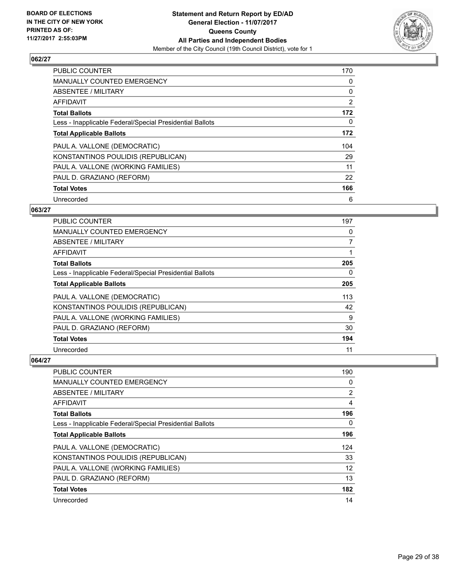

| <b>PUBLIC COUNTER</b>                                    | 170      |
|----------------------------------------------------------|----------|
| <b>MANUALLY COUNTED EMERGENCY</b>                        | 0        |
| ABSENTEE / MILITARY                                      | 0        |
| AFFIDAVIT                                                | 2        |
| <b>Total Ballots</b>                                     | 172      |
| Less - Inapplicable Federal/Special Presidential Ballots | $\Omega$ |
| <b>Total Applicable Ballots</b>                          | 172      |
| PAUL A. VALLONE (DEMOCRATIC)                             | 104      |
| KONSTANTINOS POULIDIS (REPUBLICAN)                       | 29       |
| PAUL A. VALLONE (WORKING FAMILIES)                       | 11       |
| PAUL D. GRAZIANO (REFORM)                                | 22       |
| <b>Total Votes</b>                                       | 166      |
| Unrecorded                                               | 6        |

#### **063/27**

| <b>PUBLIC COUNTER</b>                                    | 197 |
|----------------------------------------------------------|-----|
| MANUALLY COUNTED EMERGENCY                               | 0   |
| ABSENTEE / MILITARY                                      | 7   |
| AFFIDAVIT                                                |     |
| <b>Total Ballots</b>                                     | 205 |
| Less - Inapplicable Federal/Special Presidential Ballots | 0   |
| <b>Total Applicable Ballots</b>                          | 205 |
| PAUL A. VALLONE (DEMOCRATIC)                             | 113 |
| KONSTANTINOS POULIDIS (REPUBLICAN)                       | 42  |
| PAUL A. VALLONE (WORKING FAMILIES)                       | 9   |
| PAUL D. GRAZIANO (REFORM)                                | 30  |
| <b>Total Votes</b>                                       | 194 |
| Unrecorded                                               | 11  |

| <b>PUBLIC COUNTER</b>                                    | 190 |
|----------------------------------------------------------|-----|
| <b>MANUALLY COUNTED EMERGENCY</b>                        | 0   |
| ABSENTEE / MILITARY                                      | 2   |
| AFFIDAVIT                                                | 4   |
| <b>Total Ballots</b>                                     | 196 |
| Less - Inapplicable Federal/Special Presidential Ballots | 0   |
| <b>Total Applicable Ballots</b>                          | 196 |
| PAUL A. VALLONE (DEMOCRATIC)                             | 124 |
| KONSTANTINOS POULIDIS (REPUBLICAN)                       | 33  |
| PAUL A. VALLONE (WORKING FAMILIES)                       | 12  |
| PAUL D. GRAZIANO (REFORM)                                | 13  |
| <b>Total Votes</b>                                       | 182 |
| Unrecorded                                               | 14  |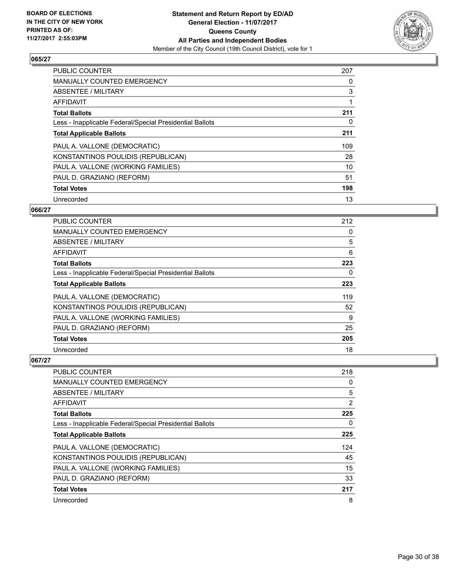

| <b>PUBLIC COUNTER</b>                                    | 207 |
|----------------------------------------------------------|-----|
| <b>MANUALLY COUNTED EMERGENCY</b>                        | 0   |
| ABSENTEE / MILITARY                                      | 3   |
| <b>AFFIDAVIT</b>                                         |     |
| <b>Total Ballots</b>                                     | 211 |
| Less - Inapplicable Federal/Special Presidential Ballots | 0   |
| <b>Total Applicable Ballots</b>                          | 211 |
| PAUL A. VALLONE (DEMOCRATIC)                             | 109 |
| KONSTANTINOS POULIDIS (REPUBLICAN)                       | 28  |
| PAUL A. VALLONE (WORKING FAMILIES)                       | 10  |
| PAUL D. GRAZIANO (REFORM)                                | 51  |
| <b>Total Votes</b>                                       | 198 |
| Unrecorded                                               | 13  |

#### **066/27**

| <b>PUBLIC COUNTER</b>                                    | 212 |
|----------------------------------------------------------|-----|
| <b>MANUALLY COUNTED EMERGENCY</b>                        | 0   |
| ABSENTEE / MILITARY                                      | 5   |
| AFFIDAVIT                                                | 6   |
| <b>Total Ballots</b>                                     | 223 |
| Less - Inapplicable Federal/Special Presidential Ballots | 0   |
| <b>Total Applicable Ballots</b>                          | 223 |
| PAUL A. VALLONE (DEMOCRATIC)                             | 119 |
| KONSTANTINOS POULIDIS (REPUBLICAN)                       | 52  |
| PAUL A. VALLONE (WORKING FAMILIES)                       | 9   |
| PAUL D. GRAZIANO (REFORM)                                | 25  |
| <b>Total Votes</b>                                       | 205 |
| Unrecorded                                               | 18  |

| PUBLIC COUNTER                                           | 218            |
|----------------------------------------------------------|----------------|
| <b>MANUALLY COUNTED EMERGENCY</b>                        | 0              |
| ABSENTEE / MILITARY                                      | 5              |
| AFFIDAVIT                                                | $\overline{2}$ |
| <b>Total Ballots</b>                                     | 225            |
| Less - Inapplicable Federal/Special Presidential Ballots | 0              |
| <b>Total Applicable Ballots</b>                          | 225            |
| PAUL A. VALLONE (DEMOCRATIC)                             | 124            |
| KONSTANTINOS POULIDIS (REPUBLICAN)                       | 45             |
| PAUL A. VALLONE (WORKING FAMILIES)                       | 15             |
| PAUL D. GRAZIANO (REFORM)                                | 33             |
| <b>Total Votes</b>                                       | 217            |
| Unrecorded                                               | 8              |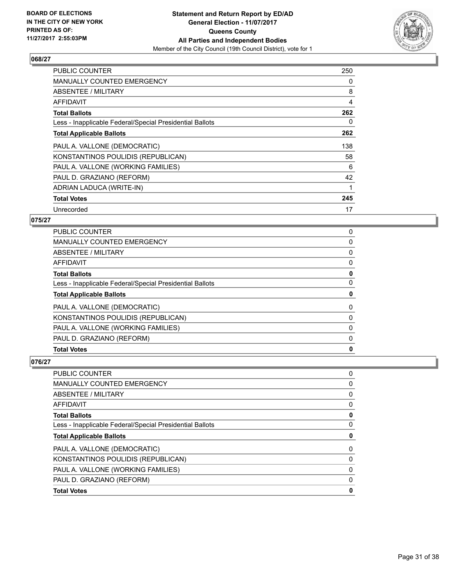

| <b>PUBLIC COUNTER</b>                                    | 250 |
|----------------------------------------------------------|-----|
| MANUALLY COUNTED EMERGENCY                               | 0   |
| ABSENTEE / MILITARY                                      | 8   |
| AFFIDAVIT                                                | 4   |
| <b>Total Ballots</b>                                     | 262 |
| Less - Inapplicable Federal/Special Presidential Ballots | 0   |
| <b>Total Applicable Ballots</b>                          | 262 |
| PAUL A. VALLONE (DEMOCRATIC)                             | 138 |
| KONSTANTINOS POULIDIS (REPUBLICAN)                       | 58  |
| PAUL A. VALLONE (WORKING FAMILIES)                       | 6   |
| PAUL D. GRAZIANO (REFORM)                                | 42  |
| ADRIAN LADUCA (WRITE-IN)                                 |     |
| <b>Total Votes</b>                                       | 245 |
| Unrecorded                                               | 17  |

## **075/27**

| <b>PUBLIC COUNTER</b>                                    | 0 |
|----------------------------------------------------------|---|
| <b>MANUALLY COUNTED EMERGENCY</b>                        | 0 |
| ABSENTEE / MILITARY                                      | 0 |
| AFFIDAVIT                                                | 0 |
| <b>Total Ballots</b>                                     | 0 |
| Less - Inapplicable Federal/Special Presidential Ballots | 0 |
| <b>Total Applicable Ballots</b>                          | 0 |
| PAUL A. VALLONE (DEMOCRATIC)                             | 0 |
| KONSTANTINOS POULIDIS (REPUBLICAN)                       | 0 |
| PAUL A. VALLONE (WORKING FAMILIES)                       | 0 |
| PAUL D. GRAZIANO (REFORM)                                | 0 |
| <b>Total Votes</b>                                       | 0 |

| <b>PUBLIC COUNTER</b>                                    | 0 |
|----------------------------------------------------------|---|
| <b>MANUALLY COUNTED EMERGENCY</b>                        | 0 |
| <b>ABSENTEE / MILITARY</b>                               | 0 |
| AFFIDAVIT                                                | 0 |
| <b>Total Ballots</b>                                     | 0 |
| Less - Inapplicable Federal/Special Presidential Ballots | 0 |
| <b>Total Applicable Ballots</b>                          | 0 |
| PAUL A. VALLONE (DEMOCRATIC)                             | 0 |
| KONSTANTINOS POULIDIS (REPUBLICAN)                       | 0 |
| PAUL A. VALLONE (WORKING FAMILIES)                       | 0 |
| PAUL D. GRAZIANO (REFORM)                                | 0 |
| <b>Total Votes</b>                                       | 0 |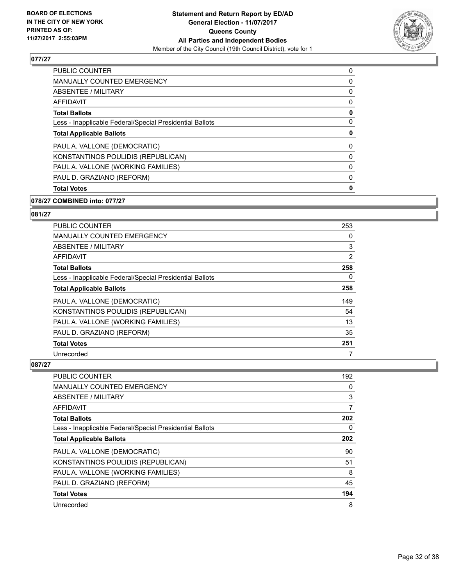

| 0 |
|---|
| 0 |
| 0 |
| 0 |
| 0 |
| 0 |
| 0 |
| 0 |
| 0 |
| 0 |
| 0 |
| 0 |
|   |

## **078/27 COMBINED into: 077/27**

#### **081/27**

| <b>PUBLIC COUNTER</b>                                    | 253 |
|----------------------------------------------------------|-----|
| <b>MANUALLY COUNTED EMERGENCY</b>                        | 0   |
| ABSENTEE / MILITARY                                      | 3   |
| <b>AFFIDAVIT</b>                                         | 2   |
| <b>Total Ballots</b>                                     | 258 |
| Less - Inapplicable Federal/Special Presidential Ballots | 0   |
| <b>Total Applicable Ballots</b>                          | 258 |
| PAUL A. VALLONE (DEMOCRATIC)                             | 149 |
| KONSTANTINOS POULIDIS (REPUBLICAN)                       | 54  |
| PAUL A. VALLONE (WORKING FAMILIES)                       | 13  |
| PAUL D. GRAZIANO (REFORM)                                | 35  |
| <b>Total Votes</b>                                       | 251 |
| Unrecorded                                               |     |

| <b>PUBLIC COUNTER</b>                                    | 192 |
|----------------------------------------------------------|-----|
| <b>MANUALLY COUNTED EMERGENCY</b>                        | 0   |
| ABSENTEE / MILITARY                                      | 3   |
| AFFIDAVIT                                                | 7   |
| <b>Total Ballots</b>                                     | 202 |
| Less - Inapplicable Federal/Special Presidential Ballots | 0   |
| <b>Total Applicable Ballots</b>                          | 202 |
| PAUL A. VALLONE (DEMOCRATIC)                             | 90  |
| KONSTANTINOS POULIDIS (REPUBLICAN)                       | 51  |
| PAUL A. VALLONE (WORKING FAMILIES)                       | 8   |
| PAUL D. GRAZIANO (REFORM)                                | 45  |
| <b>Total Votes</b>                                       | 194 |
| Unrecorded                                               | 8   |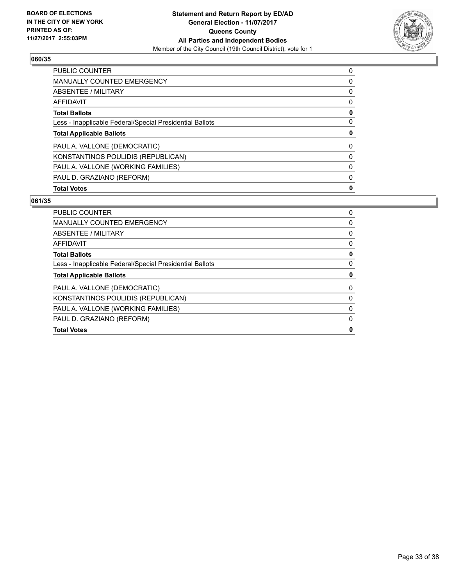

| <b>PUBLIC COUNTER</b>                                    | 0 |
|----------------------------------------------------------|---|
| <b>MANUALLY COUNTED EMERGENCY</b>                        | 0 |
| ABSENTEE / MILITARY                                      | 0 |
| AFFIDAVIT                                                | 0 |
| <b>Total Ballots</b>                                     | 0 |
| Less - Inapplicable Federal/Special Presidential Ballots | 0 |
| <b>Total Applicable Ballots</b>                          | 0 |
| PAUL A. VALLONE (DEMOCRATIC)                             | 0 |
| KONSTANTINOS POULIDIS (REPUBLICAN)                       | 0 |
| PAUL A. VALLONE (WORKING FAMILIES)                       | 0 |
| PAUL D. GRAZIANO (REFORM)                                | 0 |
| <b>Total Votes</b>                                       | 0 |

| <b>PUBLIC COUNTER</b>                                    | 0 |
|----------------------------------------------------------|---|
| <b>MANUALLY COUNTED EMERGENCY</b>                        | 0 |
| ABSENTEE / MILITARY                                      | 0 |
| AFFIDAVIT                                                | 0 |
| <b>Total Ballots</b>                                     | 0 |
| Less - Inapplicable Federal/Special Presidential Ballots | 0 |
| <b>Total Applicable Ballots</b>                          | 0 |
| PAUL A. VALLONE (DEMOCRATIC)                             | 0 |
| KONSTANTINOS POULIDIS (REPUBLICAN)                       | 0 |
| PAUL A. VALLONE (WORKING FAMILIES)                       | 0 |
| PAUL D. GRAZIANO (REFORM)                                | 0 |
| <b>Total Votes</b>                                       | 0 |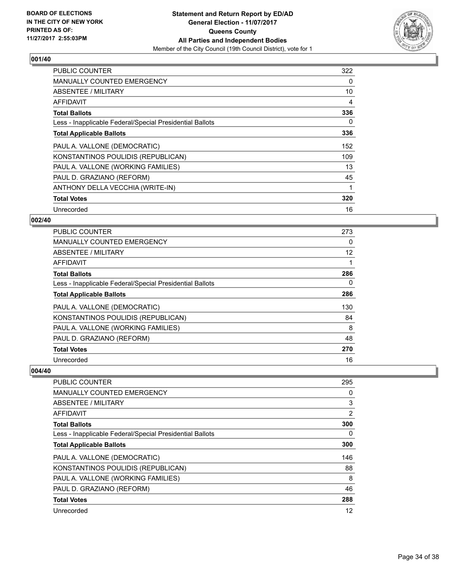

| <b>PUBLIC COUNTER</b>                                    | 322 |
|----------------------------------------------------------|-----|
| <b>MANUALLY COUNTED EMERGENCY</b>                        | 0   |
| <b>ABSENTEE / MILITARY</b>                               | 10  |
| AFFIDAVIT                                                | 4   |
| <b>Total Ballots</b>                                     | 336 |
| Less - Inapplicable Federal/Special Presidential Ballots | 0   |
| <b>Total Applicable Ballots</b>                          | 336 |
| PAUL A. VALLONE (DEMOCRATIC)                             | 152 |
| KONSTANTINOS POULIDIS (REPUBLICAN)                       | 109 |
| PAUL A. VALLONE (WORKING FAMILIES)                       | 13  |
| PAUL D. GRAZIANO (REFORM)                                | 45  |
| ANTHONY DELLA VECCHIA (WRITE-IN)                         | 1   |
| <b>Total Votes</b>                                       | 320 |
| Unrecorded                                               | 16  |

## **002/40**

| <b>PUBLIC COUNTER</b>                                    | 273 |
|----------------------------------------------------------|-----|
| <b>MANUALLY COUNTED EMERGENCY</b>                        | 0   |
| ABSENTEE / MILITARY                                      | 12  |
| AFFIDAVIT                                                | 1   |
| <b>Total Ballots</b>                                     | 286 |
| Less - Inapplicable Federal/Special Presidential Ballots | 0   |
| <b>Total Applicable Ballots</b>                          | 286 |
| PAUL A. VALLONE (DEMOCRATIC)                             | 130 |
| KONSTANTINOS POULIDIS (REPUBLICAN)                       | 84  |
| PAUL A. VALLONE (WORKING FAMILIES)                       | 8   |
| PAUL D. GRAZIANO (REFORM)                                | 48  |
| <b>Total Votes</b>                                       | 270 |
| Unrecorded                                               | 16  |

| PUBLIC COUNTER                                           | 295            |
|----------------------------------------------------------|----------------|
| <b>MANUALLY COUNTED EMERGENCY</b>                        | 0              |
| ABSENTEE / MILITARY                                      | 3              |
| AFFIDAVIT                                                | $\overline{2}$ |
| <b>Total Ballots</b>                                     | 300            |
| Less - Inapplicable Federal/Special Presidential Ballots | 0              |
| <b>Total Applicable Ballots</b>                          | 300            |
| PAUL A. VALLONE (DEMOCRATIC)                             | 146            |
| KONSTANTINOS POULIDIS (REPUBLICAN)                       | 88             |
| PAUL A. VALLONE (WORKING FAMILIES)                       | 8              |
| PAUL D. GRAZIANO (REFORM)                                | 46             |
| <b>Total Votes</b>                                       | 288            |
| Unrecorded                                               | 12             |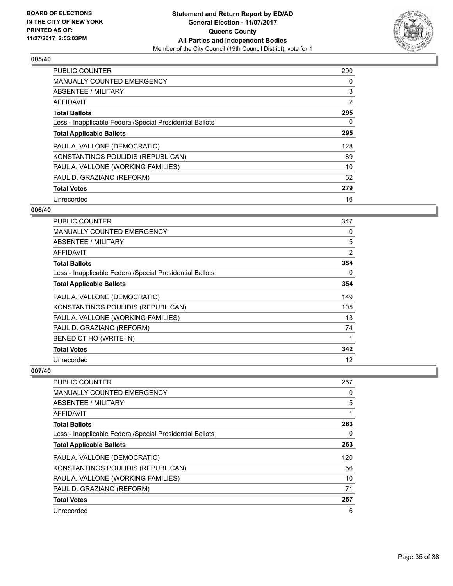

| <b>PUBLIC COUNTER</b>                                    | 290            |
|----------------------------------------------------------|----------------|
| <b>MANUALLY COUNTED EMERGENCY</b>                        | 0              |
| ABSENTEE / MILITARY                                      | 3              |
| <b>AFFIDAVIT</b>                                         | $\overline{2}$ |
| <b>Total Ballots</b>                                     | 295            |
| Less - Inapplicable Federal/Special Presidential Ballots | 0              |
| <b>Total Applicable Ballots</b>                          | 295            |
| PAUL A. VALLONE (DEMOCRATIC)                             | 128            |
| KONSTANTINOS POULIDIS (REPUBLICAN)                       | 89             |
| PAUL A. VALLONE (WORKING FAMILIES)                       | 10             |
| PAUL D. GRAZIANO (REFORM)                                | 52             |
| <b>Total Votes</b>                                       | 279            |
| Unrecorded                                               | 16             |

## **006/40**

| PUBLIC COUNTER                                           | 347            |
|----------------------------------------------------------|----------------|
| <b>MANUALLY COUNTED EMERGENCY</b>                        | 0              |
| ABSENTEE / MILITARY                                      | 5              |
| AFFIDAVIT                                                | $\overline{2}$ |
| <b>Total Ballots</b>                                     | 354            |
| Less - Inapplicable Federal/Special Presidential Ballots | 0              |
| <b>Total Applicable Ballots</b>                          | 354            |
| PAUL A. VALLONE (DEMOCRATIC)                             | 149            |
| KONSTANTINOS POULIDIS (REPUBLICAN)                       | 105            |
| PAUL A. VALLONE (WORKING FAMILIES)                       | 13             |
| PAUL D. GRAZIANO (REFORM)                                | 74             |
| BENEDICT HO (WRITE-IN)                                   | 1              |
| <b>Total Votes</b>                                       | 342            |
| Unrecorded                                               | 12             |

| <b>PUBLIC COUNTER</b>                                    | 257 |
|----------------------------------------------------------|-----|
| <b>MANUALLY COUNTED EMERGENCY</b>                        | 0   |
| ABSENTEE / MILITARY                                      | 5   |
| AFFIDAVIT                                                |     |
| <b>Total Ballots</b>                                     | 263 |
| Less - Inapplicable Federal/Special Presidential Ballots | 0   |
| <b>Total Applicable Ballots</b>                          | 263 |
| PAUL A. VALLONE (DEMOCRATIC)                             | 120 |
| KONSTANTINOS POULIDIS (REPUBLICAN)                       | 56  |
| PAUL A. VALLONE (WORKING FAMILIES)                       | 10  |
| PAUL D. GRAZIANO (REFORM)                                | 71  |
| <b>Total Votes</b>                                       | 257 |
| Unrecorded                                               | 6   |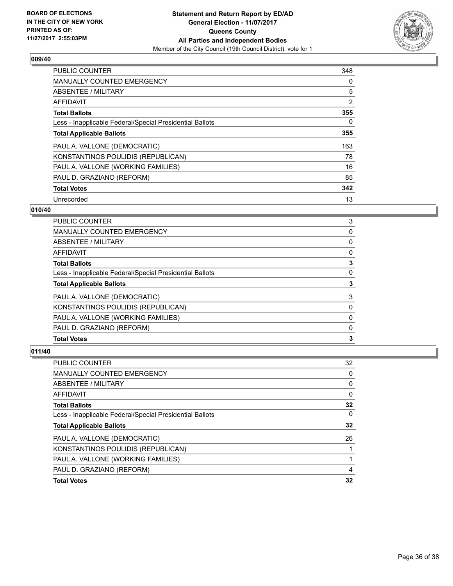

| <b>PUBLIC COUNTER</b>                                    | 348            |
|----------------------------------------------------------|----------------|
| <b>MANUALLY COUNTED EMERGENCY</b>                        | 0              |
| ABSENTEE / MILITARY                                      | 5              |
| <b>AFFIDAVIT</b>                                         | $\overline{2}$ |
| <b>Total Ballots</b>                                     | 355            |
| Less - Inapplicable Federal/Special Presidential Ballots | 0              |
| <b>Total Applicable Ballots</b>                          | 355            |
| PAUL A. VALLONE (DEMOCRATIC)                             | 163            |
| KONSTANTINOS POULIDIS (REPUBLICAN)                       | 78             |
| PAUL A. VALLONE (WORKING FAMILIES)                       | 16             |
| PAUL D. GRAZIANO (REFORM)                                | 85             |
| <b>Total Votes</b>                                       | 342            |
| Unrecorded                                               | 13             |

## **010/40**

| PAUL D. GRAZIANO (REFORM)                                | 0 |
|----------------------------------------------------------|---|
| PAUL A. VALLONE (WORKING FAMILIES)                       | 0 |
| KONSTANTINOS POULIDIS (REPUBLICAN)                       | 0 |
| PAUL A. VALLONE (DEMOCRATIC)                             | 3 |
| <b>Total Applicable Ballots</b>                          | 3 |
| Less - Inapplicable Federal/Special Presidential Ballots | 0 |
| <b>Total Ballots</b>                                     | 3 |
| AFFIDAVIT                                                | 0 |
| ABSENTEE / MILITARY                                      | 0 |
| <b>MANUALLY COUNTED EMERGENCY</b>                        | 0 |
| <b>PUBLIC COUNTER</b>                                    | 3 |

| <b>PUBLIC COUNTER</b>                                    | 32 |
|----------------------------------------------------------|----|
| <b>MANUALLY COUNTED EMERGENCY</b>                        | 0  |
| ABSENTEE / MILITARY                                      | 0  |
| AFFIDAVIT                                                | 0  |
| <b>Total Ballots</b>                                     | 32 |
| Less - Inapplicable Federal/Special Presidential Ballots | 0  |
| <b>Total Applicable Ballots</b>                          | 32 |
| PAUL A. VALLONE (DEMOCRATIC)                             | 26 |
| KONSTANTINOS POULIDIS (REPUBLICAN)                       |    |
| PAUL A. VALLONE (WORKING FAMILIES)                       |    |
| PAUL D. GRAZIANO (REFORM)                                | 4  |
| <b>Total Votes</b>                                       | 32 |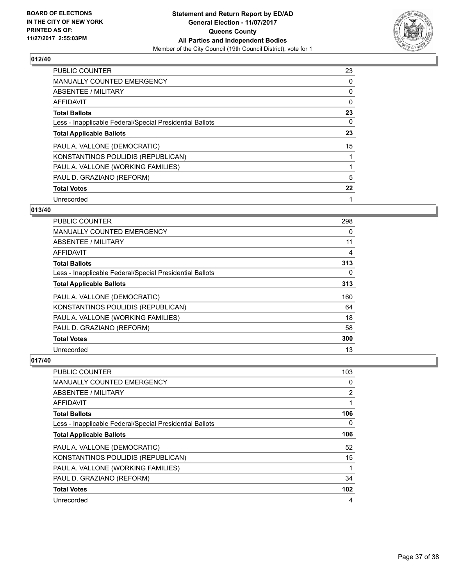

| <b>PUBLIC COUNTER</b>                                    | 23 |
|----------------------------------------------------------|----|
| <b>MANUALLY COUNTED EMERGENCY</b>                        | 0  |
| ABSENTEE / MILITARY                                      | 0  |
| <b>AFFIDAVIT</b>                                         | 0  |
| <b>Total Ballots</b>                                     | 23 |
| Less - Inapplicable Federal/Special Presidential Ballots | 0  |
| <b>Total Applicable Ballots</b>                          | 23 |
| PAUL A. VALLONE (DEMOCRATIC)                             | 15 |
| KONSTANTINOS POULIDIS (REPUBLICAN)                       |    |
| PAUL A. VALLONE (WORKING FAMILIES)                       |    |
| PAUL D. GRAZIANO (REFORM)                                | 5  |
| <b>Total Votes</b>                                       | 22 |
| Unrecorded                                               | 1  |

## **013/40**

| PUBLIC COUNTER                                           | 298 |
|----------------------------------------------------------|-----|
| <b>MANUALLY COUNTED EMERGENCY</b>                        | 0   |
| ABSENTEE / MILITARY                                      | 11  |
| AFFIDAVIT                                                | 4   |
| <b>Total Ballots</b>                                     | 313 |
| Less - Inapplicable Federal/Special Presidential Ballots | 0   |
| <b>Total Applicable Ballots</b>                          | 313 |
| PAUL A. VALLONE (DEMOCRATIC)                             | 160 |
| KONSTANTINOS POULIDIS (REPUBLICAN)                       | 64  |
| PAUL A. VALLONE (WORKING FAMILIES)                       | 18  |
| PAUL D. GRAZIANO (REFORM)                                | 58  |
| <b>Total Votes</b>                                       | 300 |
| Unrecorded                                               | 13  |

| PUBLIC COUNTER                                           | 103 |
|----------------------------------------------------------|-----|
| MANUALLY COUNTED EMERGENCY                               | 0   |
| ABSENTEE / MILITARY                                      | 2   |
| AFFIDAVIT                                                | 1   |
| <b>Total Ballots</b>                                     | 106 |
| Less - Inapplicable Federal/Special Presidential Ballots | 0   |
| <b>Total Applicable Ballots</b>                          | 106 |
| PAUL A. VALLONE (DEMOCRATIC)                             | 52  |
| KONSTANTINOS POULIDIS (REPUBLICAN)                       | 15  |
| PAUL A. VALLONE (WORKING FAMILIES)                       | 1   |
| PAUL D. GRAZIANO (REFORM)                                | 34  |
| <b>Total Votes</b>                                       | 102 |
| Unrecorded                                               | 4   |